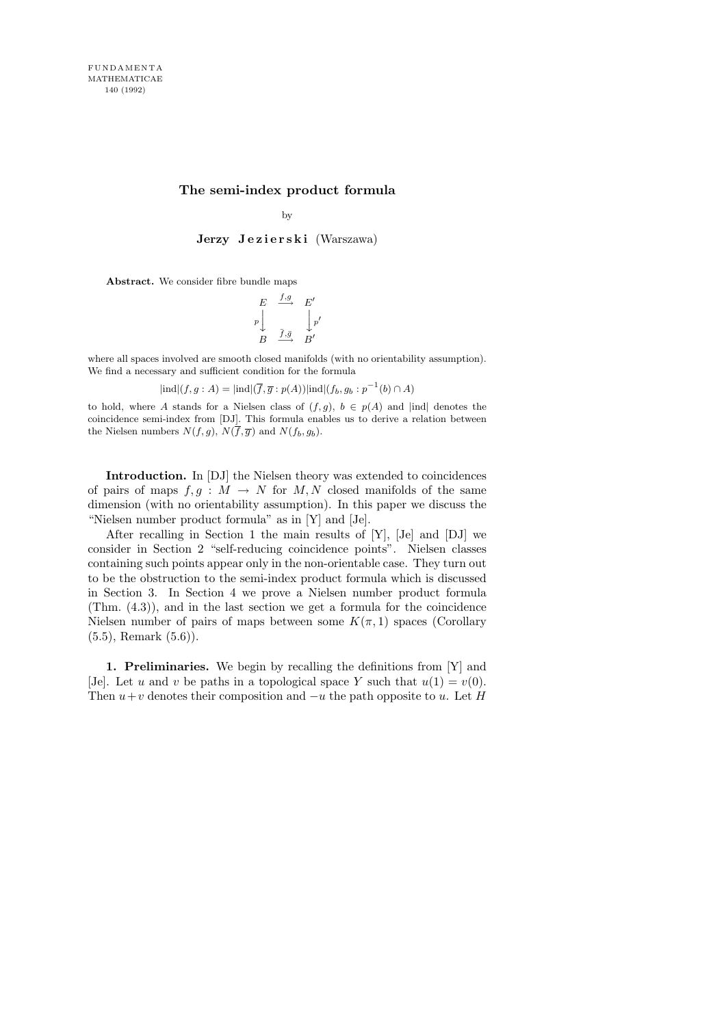## The semi-index product formula

by

Jerzy Jezierski (Warszawa)

Abstract. We consider fibre bundle maps

$$
\begin{array}{ccc}\nE & \xrightarrow{f,g} & E' \\
p \downarrow & & \downarrow p' \\
B & \xrightarrow{\overline{f}, \overline{g}} & B'\n\end{array}
$$

where all spaces involved are smooth closed manifolds (with no orientability assumption). We find a necessary and sufficient condition for the formula

$$
|\text{ind}|(f,g:A) = |\text{ind}|(\overline{f}, \overline{g}: p(A))|\text{ind}|(f_b, g_b: p^{-1}(b) \cap A)
$$

to hold, where A stands for a Nielsen class of  $(f, g)$ ,  $b \in p(A)$  and |ind| denotes the coincidence semi-index from [DJ]. This formula enables us to derive a relation between the Nielsen numbers  $N(f, g)$ ,  $N(f, \overline{g})$  and  $N(f_b, g_b)$ .

Introduction. In [DJ] the Nielsen theory was extended to coincidences of pairs of maps  $f, g : M \to N$  for  $M, N$  closed manifolds of the same dimension (with no orientability assumption). In this paper we discuss the "Nielsen number product formula" as in [Y] and [Je].

After recalling in Section 1 the main results of [Y], [Je] and [DJ] we consider in Section 2 "self-reducing coincidence points". Nielsen classes containing such points appear only in the non-orientable case. They turn out to be the obstruction to the semi-index product formula which is discussed in Section 3. In Section 4 we prove a Nielsen number product formula (Thm. (4.3)), and in the last section we get a formula for the coincidence Nielsen number of pairs of maps between some  $K(\pi, 1)$  spaces (Corollary  $(5.5)$ , Remark  $(5.6)$ ).

1. Preliminaries. We begin by recalling the definitions from [Y] and [Je]. Let u and v be paths in a topological space Y such that  $u(1) = v(0)$ . Then  $u+v$  denotes their composition and  $-u$  the path opposite to u. Let H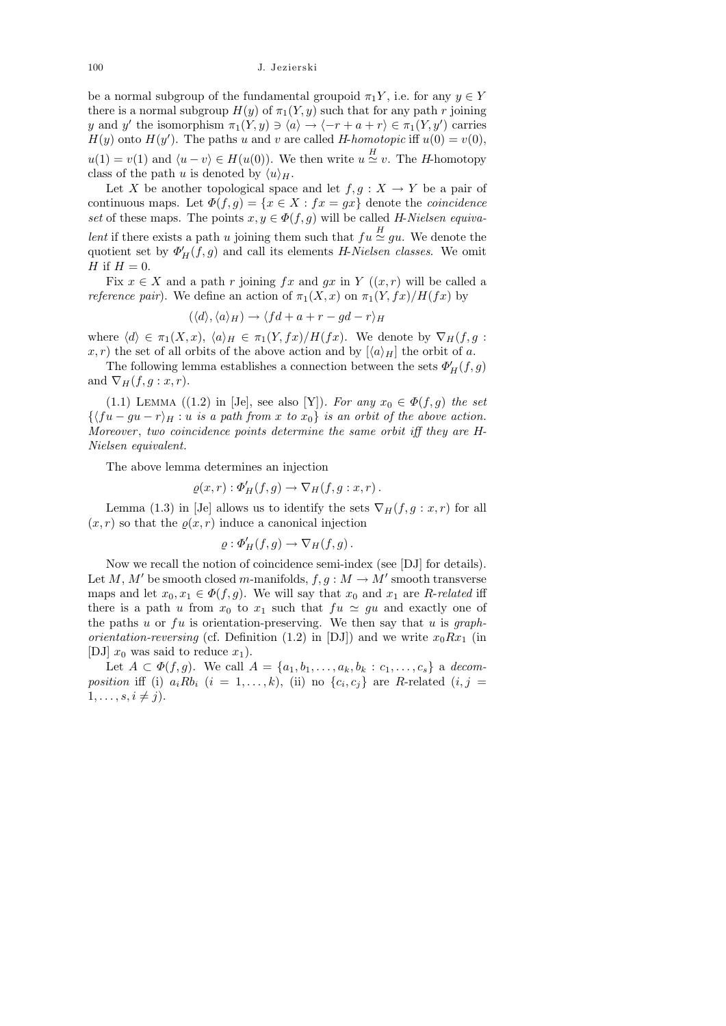be a normal subgroup of the fundamental groupoid  $\pi_1 Y$ , i.e. for any  $y \in Y$ there is a normal subgroup  $H(y)$  of  $\pi_1(Y, y)$  such that for any path r joining y and y' the isomorphism  $\pi_1(Y, y) \ni \langle a \rangle \rightarrow \langle -r + a + r \rangle \in \pi_1(Y, y')$  carries  $H(y)$  onto  $H(y')$ . The paths u and v are called H-homotopic iff  $u(0) = v(0)$ ,  $u(1) = v(1)$  and  $\langle u - v \rangle \in H(u(0))$ . We then write  $u \stackrel{H}{\simeq} v$ . The *H*-homotopy class of the path u is denoted by  $\langle u \rangle_H$ .

Let X be another topological space and let  $f, g: X \to Y$  be a pair of continuous maps. Let  $\Phi(f,g) = \{x \in X : fx = gx\}$  denote the *coincidence* set of these maps. The points  $x, y \in \Phi(f, g)$  will be called H-Nielsen equivalent if there exists a path u joining them such that  $fu \stackrel{H}{\simeq} gu$ . We denote the quotient set by  $\Phi'_H(f,g)$  and call its elements H-Nielsen classes. We omit H if  $H = 0$ .

Fix  $x \in X$  and a path r joining fx and gx in Y  $((x, r)$  will be called a *reference pair*). We define an action of  $\pi_1(X, x)$  on  $\pi_1(Y, fx)/H(fx)$  by

$$
(\langle d \rangle, \langle a \rangle_H) \to \langle f d + a + r - g d - r \rangle_H
$$

where  $\langle d \rangle \in \pi_1(X, x)$ ,  $\langle a \rangle_H \in \pi_1(Y, fx)/H(fx)$ . We denote by  $\nabla_H(f, g$ :  $x, r$ ) the set of all orbits of the above action and by  $\langle a \rangle_H$  the orbit of a.

The following lemma establishes a connection between the sets  $\Phi_H^\prime(f,g)$ and  $\nabla_H(f, g: x, r)$ .

(1.1) LEMMA ((1.2) in [Je], see also [Y]). For any  $x_0 \in \Phi(f, g)$  the set  $\{\langle fu-gu-r\rangle_H : u \text{ is a path from } x \text{ to } x_0\}$  is an orbit of the above action. Moreover, two coincidence points determine the same orbit iff they are H-Nielsen equivalent.

The above lemma determines an injection

$$
\varrho(x,r): \Phi'_H(f,g) \to \nabla_H(f,g:x,r)\,.
$$

Lemma (1.3) in [Je] allows us to identify the sets  $\nabla_H(f, g: x, r)$  for all  $(x, r)$  so that the  $\rho(x, r)$  induce a canonical injection

$$
\varrho: \Phi'_H(f,g) \to \nabla_H(f,g).
$$

Now we recall the notion of coincidence semi-index (see [DJ] for details). Let M, M' be smooth closed m-manifolds,  $f, g : M \to M'$  smooth transverse maps and let  $x_0, x_1 \in \Phi(f, g)$ . We will say that  $x_0$  and  $x_1$  are R-related iff there is a path u from  $x_0$  to  $x_1$  such that  $fu \approx gu$  and exactly one of the paths u or  $fu$  is orientation-preserving. We then say that u is graph*orientation-reversing* (cf. Definition (1.2) in [DJ]) and we write  $x_0Rx_1$  (in [DJ]  $x_0$  was said to reduce  $x_1$ .

Let  $A \subset \Phi(f, g)$ . We call  $A = \{a_1, b_1, \ldots, a_k, b_k : c_1, \ldots, c_s\}$  a decomposition iff (i)  $a_i R b_i$   $(i = 1, ..., k)$ , (ii) no  $\{c_i, c_j\}$  are R-related  $(i, j = 1, ..., k)$  $1, \ldots, s, i \neq j$ .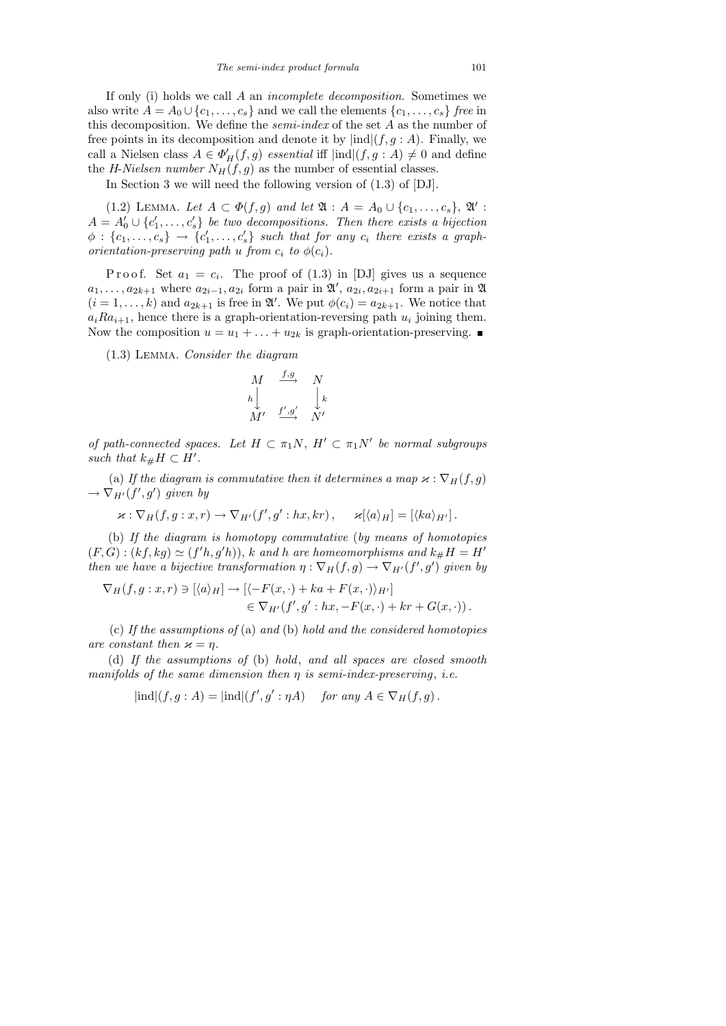If only (i) holds we call A an incomplete decomposition. Sometimes we also write  $A = A_0 \cup \{c_1, \ldots, c_s\}$  and we call the elements  $\{c_1, \ldots, c_s\}$  free in this decomposition. We define the *semi-index* of the set  $A$  as the number of free points in its decomposition and denote it by  $\text{ind}(f, g : A)$ . Finally, we call a Nielsen class  $A \in \Phi_H'(f, g)$  essential iff  $|\text{ind}|(f, g : A) \neq 0$  and define the H-Nielsen number  $N_H(f, g)$  as the number of essential classes.

In Section 3 we will need the following version of (1.3) of [DJ].

(1.2) LEMMA. Let  $A \subset \Phi(f, g)$  and let  $\mathfrak{A} : A = A_0 \cup \{c_1, \ldots, c_s\}, \mathfrak{A}'$ :  $A = A'_0 \cup \{c'_1, \ldots, c'_s\}$  be two decompositions. Then there exists a bijection  $\phi$  :  $\{c_1, \ldots, c_s\}$   $\rightarrow$   $\{c'_1, \ldots, c'_s\}$  such that for any  $c_i$  there exists a graphorientation-preserving path u from  $c_i$  to  $\phi(c_i)$ .

P r o o f. Set  $a_1 = c_i$ . The proof of  $(1.3)$  in [DJ] gives us a sequence  $a_1, \ldots, a_{2k+1}$  where  $a_{2i-1}, a_{2i}$  form a pair in  $\mathfrak{A}', a_{2i}, a_{2i+1}$  form a pair in  $\mathfrak{A}$  $(i = 1, \ldots, k)$  and  $a_{2k+1}$  is free in  $\mathfrak{A}'$ . We put  $\phi(c_i) = a_{2k+1}$ . We notice that  $a_iRa_{i+1}$ , hence there is a graph-orientation-reversing path  $u_i$  joining them. Now the composition  $u = u_1 + \ldots + u_{2k}$  is graph-orientation-preserving.

(1.3) Lemma. Consider the diagram

$$
\begin{array}{ccc}\nM & \xrightarrow{f,g} & N \\
h & & \downarrow k \\
M' & \xrightarrow{f',g'} & N'\n\end{array}
$$

of path-connected spaces. Let  $H \subset \pi_1 N$ ,  $H' \subset \pi_1 N'$  be normal subgroups such that  $k_{\#}H \subset H'$ .

(a) If the diagram is commutative then it determines a map  $\varkappa : \nabla_H(f, g)$  $\rightarrow \nabla_{H'}(f',g')$  given by

$$
\varkappa : \nabla_H(f,g:x,r) \to \nabla_{H'}(f',g':hx,kr), \quad \varkappa[\langle a \rangle_H] = [\langle ka \rangle_{H'}].
$$

(b) If the diagram is homotopy commutative (by means of homotopies  $(F, G) : (kf, kg) \simeq (f'h, g'h)), k$  and h are homeomorphisms and  $k_{\#}H = H'$ then we have a bijective transformation  $\eta : \nabla_H(f,g) \to \nabla_{H'}(f',g')$  given by

$$
\nabla_H(f,g:x,r) \ni [\langle a \rangle_H] \to [\langle -F(x,\cdot) + ka + F(x,\cdot) \rangle_{H'}] \in \nabla_{H'}(f',g':hx,-F(x,\cdot) + kr + G(x,\cdot)).
$$

(c) If the assumptions of (a) and (b) hold and the considered homotopies are constant then  $\varkappa = \eta$ .

(d) If the assumptions of (b) hold, and all spaces are closed smooth manifolds of the same dimension then  $\eta$  is semi-index-preserving, i.e.

 $|\text{ind}|(f,g:A) = |\text{ind}|(f',g':\eta A)$  for any  $A \in \nabla_H(f,g)$ .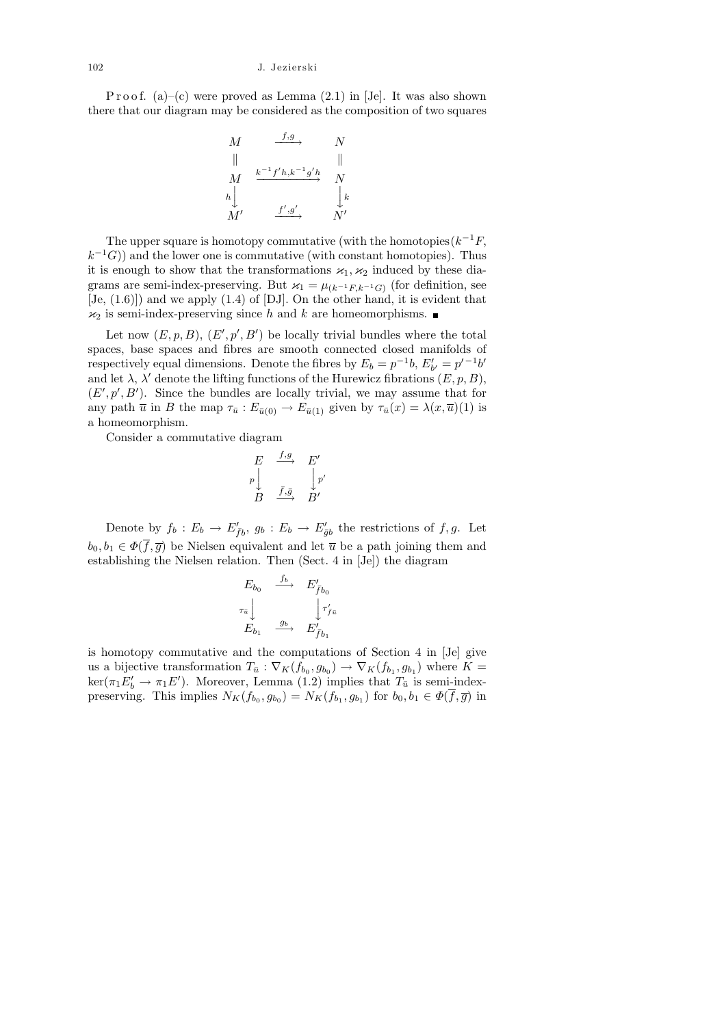P r o o f. (a)–(c) were proved as Lemma  $(2.1)$  in [Je]. It was also shown there that our diagram may be considered as the composition of two squares

$$
\begin{array}{ccc}\nM & \xrightarrow{f,g} & N \\
\parallel & & \parallel \\
M & \xrightarrow{k^{-1}f'h,k^{-1}g'h} & N \\
h & & \downarrow k \\
M' & \xrightarrow{f',g'} & N'\n\end{array}
$$

The upper square is homotopy commutative (with the homotopies  $(k^{-1}F,$  $(k^{-1}G)$  and the lower one is commutative (with constant homotopies). Thus it is enough to show that the transformations  $x_1, x_2$  induced by these diagrams are semi-index-preserving. But  $\varkappa_1 = \mu_{(k^{-1}F, k^{-1}G)}$  (for definition, see  $[Je, (1.6)]$  and we apply  $(1.4)$  of  $[DJ]$ . On the other hand, it is evident that  $\varkappa_2$  is semi-index-preserving since h and k are homeomorphisms.

Let now  $(E, p, B), (E', p', B')$  be locally trivial bundles where the total spaces, base spaces and fibres are smooth connected closed manifolds of respectively equal dimensions. Denote the fibres by  $E_b = p^{-1}b$ ,  $E'_{b'} = p'^{-1}b'$ and let  $\lambda$ ,  $\lambda'$  denote the lifting functions of the Hurewicz fibrations  $(E, p, B)$ ,  $(E', p', B')$ . Since the bundles are locally trivial, we may assume that for any path  $\overline{u}$  in B the map  $\tau_{\overline{u}}$ :  $E_{\overline{u}(0)} \to E_{\overline{u}(1)}$  given by  $\tau_{\overline{u}}(x) = \lambda(x, \overline{u})(1)$  is a homeomorphism.

Consider a commutative diagram

$$
\begin{array}{ccc}\nE & \xrightarrow{f,g} & E' \\
p \downarrow & & \downarrow p' \\
B & \xrightarrow{\bar{f}, \bar{g}} & B'\n\end{array}
$$

Denote by  $f_b: E_b \to E'_{\bar{f}b}, g_b: E_b \to E'_{\bar{g}b}$  the restrictions of  $f, g$ . Let  $b_0, b_1 \in \Phi(\overline{f}, \overline{g})$  be Nielsen equivalent and let  $\overline{u}$  be a path joining them and establishing the Nielsen relation. Then (Sect. 4 in [Je]) the diagram

$$
E_{b_0} \xrightarrow{f_b} E'_{\bar{f}b_0}
$$
  

$$
\tau_{\bar{u}} \downarrow \qquad \qquad \downarrow \tau'_{\bar{f}u}
$$
  

$$
E_{b_1} \xrightarrow{g_b} E'_{\bar{f}b_1}
$$

is homotopy commutative and the computations of Section 4 in [Je] give us a bijective transformation  $T_{\bar{u}} : \nabla_K(f_{b_0}, g_{b_0}) \to \nabla_K(f_{b_1}, g_{b_1})$  where  $K =$  $\ker(\pi_1 E'_b \to \pi_1 E')$ . Moreover, Lemma (1.2) implies that  $T_{\bar{u}}$  is semi-indexpreserving. This implies  $N_K(f_{b_0}, g_{b_0}) = N_K(f_{b_1}, g_{b_1})$  for  $b_0, b_1 \in \Phi(f, \overline{g})$  in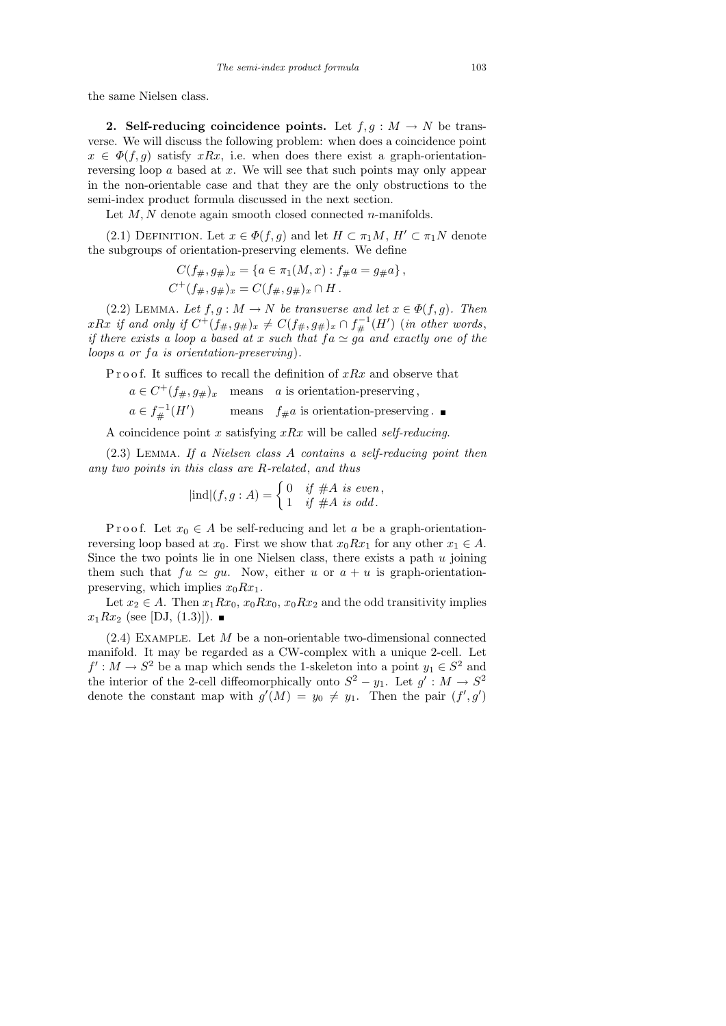the same Nielsen class.

2. Self-reducing coincidence points. Let  $f, g : M \to N$  be transverse. We will discuss the following problem: when does a coincidence point  $x \in \Phi(f, g)$  satisfy  $xRx$ , i.e. when does there exist a graph-orientationreversing loop  $\alpha$  based at  $x$ . We will see that such points may only appear in the non-orientable case and that they are the only obstructions to the semi-index product formula discussed in the next section.

Let  $M, N$  denote again smooth closed connected *n*-manifolds.

(2.1) DEFINITION. Let  $x \in \Phi(f, g)$  and let  $H \subset \pi_1M$ ,  $H' \subset \pi_1N$  denote the subgroups of orientation-preserving elements. We define

$$
C(f_{\#}, g_{\#})_x = \{a \in \pi_1(M, x) : f_{\#}a = g_{\#}a\},
$$
  

$$
C^+(f_{\#}, g_{\#})_x = C(f_{\#}, g_{\#})_x \cap H.
$$

(2.2) LEMMA. Let  $f, g : M \to N$  be transverse and let  $x \in \Phi(f, g)$ . Then  $xRx \text{ if and only if } C^+(f_{\#}, g_{\#})_x \neq C(f_{\#}, g_{\#})_x \cap f_{\#}^{-1}(H') \text{ (in other words, }$ if there exists a loop a based at x such that  $fa \simeq ga$  and exactly one of the loops a or  $fa$  is orientation-preserving).

P r o o f. It suffices to recall the definition of  $xRx$  and observe that

 $a \in C^+(f_{\#}, g_{\#})_x$  means a is orientation-preserving,  $a \in f^{-1}_{\#}(H'$ means  $f_{\#}a$  is orientation-preserving.

A coincidence point x satisfying  $xRx$  will be called self-reducing.

(2.3) Lemma. If a Nielsen class A contains a self-reducing point then any two points in this class are R-related, and thus

$$
|\text{ind}|(f,g:A) = \begin{cases} 0 & \text{if } \#A \text{ is even,} \\ 1 & \text{if } \#A \text{ is odd.} \end{cases}
$$

P r o o f. Let  $x_0 \in A$  be self-reducing and let a be a graph-orientationreversing loop based at  $x_0$ . First we show that  $x_0Rx_1$  for any other  $x_1 \in A$ . Since the two points lie in one Nielsen class, there exists a path  $u$  joining them such that  $fu \simeq gu$ . Now, either u or  $a + u$  is graph-orientationpreserving, which implies  $x_0Rx_1$ .

Let  $x_2 \in A$ . Then  $x_1Rx_0$ ,  $x_0Rx_0$ ,  $x_0Rx_2$  and the odd transitivity implies  $x_1Rx_2$  (see [DJ, (1.3)]).

 $(2.4)$  EXAMPLE. Let M be a non-orientable two-dimensional connected manifold. It may be regarded as a CW-complex with a unique 2-cell. Let  $f': M \to S^2$  be a map which sends the 1-skeleton into a point  $y_1 \in S^2$  and the interior of the 2-cell diffeomorphically onto  $S^2 - y_1$ . Let  $g' : M \to S^2$ denote the constant map with  $g'(M) = y_0 \neq y_1$ . Then the pair  $(f', g')$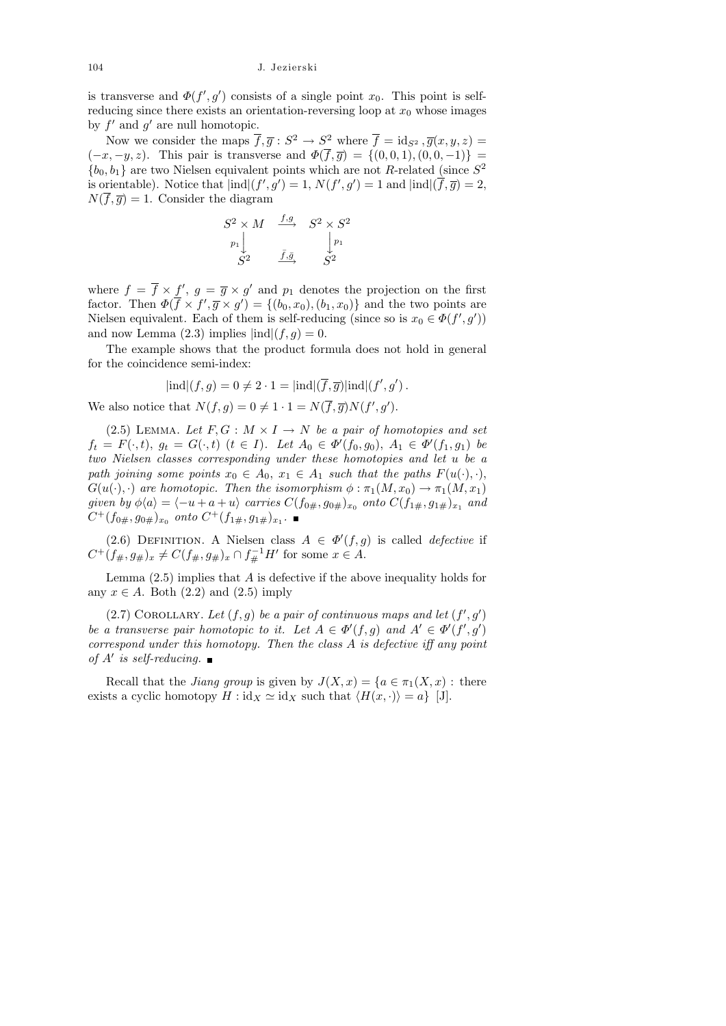is transverse and  $\Phi(f', g')$  consists of a single point  $x_0$ . This point is selfreducing since there exists an orientation-reversing loop at  $x_0$  whose images by  $f'$  and  $g'$  are null homotopic.

Now we consider the maps  $\overline{f}, \overline{g}: S^2 \to S^2$  where  $\overline{f} = id_{S^2}, \overline{g}(x, y, z) =$  $(-x, -y, z)$ . This pair is transverse and  $\Phi(f, \overline{g}) = \{(0, 0, 1), (0, 0, -1)\}$  ${b_0, b_1}$  are two Nielsen equivalent points which are not R-related (since  $S^2$ is orientable). Notice that  $\text{ind}(f', g') = 1$ ,  $N(f', g') = 1$  and  $\text{ind}(\overline{f}, \overline{g}) = 2$ ,  $N(\overline{f}, \overline{q}) = 1$ . Consider the diagram

$$
\begin{array}{ccc}\nS^2 \times M & \xrightarrow{f,g} & S^2 \times S^2 \\
p_1 \downarrow & & \downarrow p_1 \\
S^2 & \xrightarrow{\bar{f}, \bar{g}} & S^2\n\end{array}
$$

where  $f = \overline{f} \times f'$ ,  $g = \overline{g} \times g'$  and  $p_1$  denotes the projection on the first factor. Then  $\Phi(\overline{f} \times f', \overline{g} \times g') = \{(b_0, x_0), (b_1, x_0)\}\$ and the two points are Nielsen equivalent. Each of them is self-reducing (since so is  $x_0 \in \Phi(f', g')$ ) and now Lemma  $(2.3)$  implies  $|ind|(f,g) = 0$ .

The example shows that the product formula does not hold in general for the coincidence semi-index:

$$
|\text{ind}|(f,g) = 0 \neq 2 \cdot 1 = |\text{ind}|(\overline{f}, \overline{g})|\text{ind}|(f', g').
$$

We also notice that  $N(f,g) = 0 \neq 1 \cdot 1 = N(\overline{f}, \overline{g})N(f', g').$ 

(2.5) LEMMA. Let  $F, G : M \times I \rightarrow N$  be a pair of homotopies and set  $f_t = F(\cdot, t), g_t = G(\cdot, t)$   $(t \in I)$ . Let  $A_0 \in \Phi'(f_0, g_0), A_1 \in \Phi'(f_1, g_1)$  be two Nielsen classes corresponding under these homotopies and let u be a path joining some points  $x_0 \in A_0$ ,  $x_1 \in A_1$  such that the paths  $F(u(\cdot), \cdot)$ ,  $G(u(\cdot), \cdot)$  are homotopic. Then the isomorphism  $\phi : \pi_1(M, x_0) \to \pi_1(M, x_1)$ given by  $\phi\langle a\rangle=\langle -u+a+u\rangle$  carries  $C(f_{0\#},g_{0\#})_{x_0}$  onto  $C(f_{1\#},g_{1\#})_{x_1}$  and  $C^+(f_{0\#}, g_{0\#})_{x_0}$  onto  $C^+(f_{1\#}, g_{1\#})_{x_1}$ .

(2.6) DEFINITION. A Nielsen class  $A \in \Phi'(f,g)$  is called *defective* if  $C^+(f_{\#}, g_{\#})_x \neq C(f_{\#}, g_{\#})_x \cap f_{\#}^{-1}H'$  for some  $x \in A$ .

Lemma  $(2.5)$  implies that A is defective if the above inequality holds for any  $x \in A$ . Both  $(2.2)$  and  $(2.5)$  imply

(2.7) COROLLARY. Let  $(f, g)$  be a pair of continuous maps and let  $(f', g')$ be a transverse pair homotopic to it. Let  $A \in \Phi'(f,g)$  and  $A' \in \Phi'(f',g')$ correspond under this homotopy. Then the class A is defective iff any point of  $A'$  is self-reducing.

Recall that the *Jiang group* is given by  $J(X, x) = \{a \in \pi_1(X, x) : \text{there}$ exists a cyclic homotopy  $H : id_X \simeq id_X$  such that  $\langle H(x, \cdot) \rangle = a$  [J].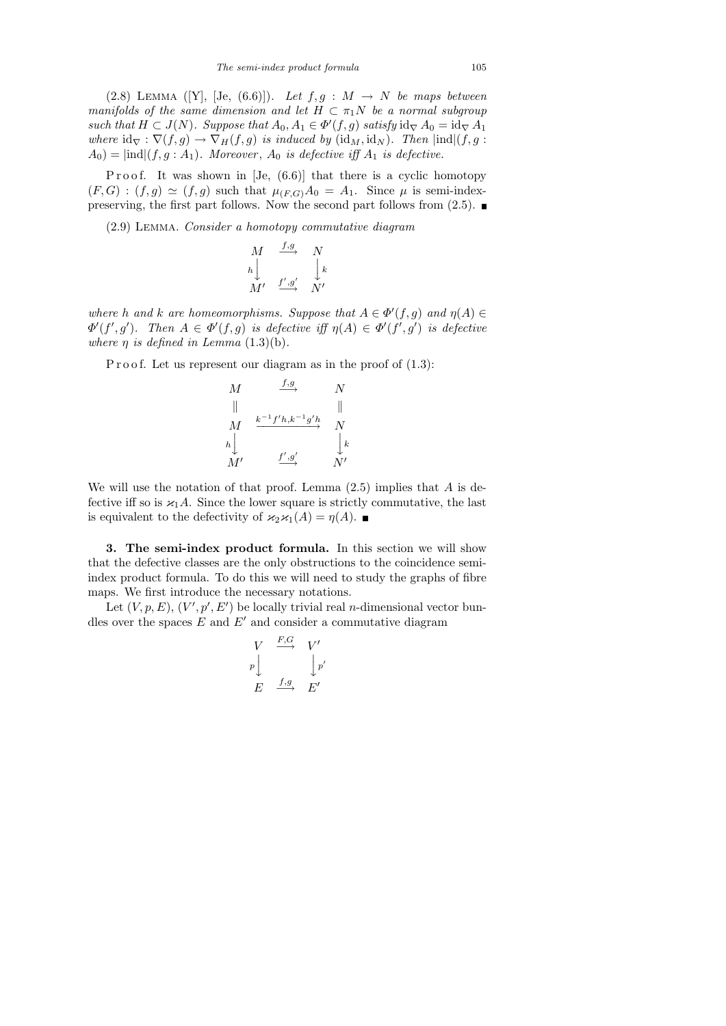(2.8) LEMMA ([Y], [Je, (6.6)]). Let  $f, g : M \rightarrow N$  be maps between manifolds of the same dimension and let  $H \subset \pi_1 N$  be a normal subgroup such that  $H \subset J(N)$ . Suppose that  $A_0, A_1 \in \Phi'(f, g)$  satisfy  $\mathrm{id}_{\nabla} A_0 = \mathrm{id}_{\nabla} A_1$ where  $\mathrm{id}_{\nabla} : \nabla(f,g) \to \nabla_H(f,g)$  is induced by  $(\mathrm{id}_M, \mathrm{id}_N)$ . Then  $|\mathrm{ind}|(f,g:$  $A_0$ ) =  $\text{ind}(f, g : A_1)$ . Moreover,  $A_0$  is defective iff  $A_1$  is defective.

Proof. It was shown in  $[Je, (6.6)]$  that there is a cyclic homotopy  $(F, G) : (f, g) \simeq (f, g)$  such that  $\mu_{(F, G)} A_0 = A_1$ . Since  $\mu$  is semi-indexpreserving, the first part follows. Now the second part follows from (2.5).  $\blacksquare$ 

(2.9) Lemma. Consider a homotopy commutative diagram

$$
\begin{array}{ccc}\nM & \xrightarrow{f,g} & N \\
h & & \downarrow k \\
M' & \xrightarrow{f',g'} & N'\n\end{array}
$$

where h and k are homeomorphisms. Suppose that  $A \in \Phi'(f,g)$  and  $\eta(A) \in$  $\Phi'(f',g')$ . Then  $A \in \Phi'(f,g)$  is defective iff  $\eta(A) \in \Phi'(f',g')$  is defective where  $\eta$  is defined in Lemma (1.3)(b).

P r o o f. Let us represent our diagram as in the proof of  $(1.3)$ :

$$
\begin{array}{ccc}\nM & \xrightarrow{f,g} & N \\
\parallel & & \parallel \\
M & \xrightarrow{k^{-1}f'h,k^{-1}g'h} & N \\
h & & \downarrow k \\
M' & \xrightarrow{f',g'} & N'\n\end{array}
$$

We will use the notation of that proof. Lemma  $(2.5)$  implies that A is defective iff so is  $\varkappa_1 A$ . Since the lower square is strictly commutative, the last is equivalent to the defectivity of  $\varkappa_2 \varkappa_1(A) = \eta(A)$ .

3. The semi-index product formula. In this section we will show that the defective classes are the only obstructions to the coincidence semiindex product formula. To do this we will need to study the graphs of fibre maps. We first introduce the necessary notations.

Let  $(V, p, E), (V', p', E')$  be locally trivial real *n*-dimensional vector bundles over the spaces  $E$  and  $E'$  and consider a commutative diagram

$$
\begin{array}{ccc}\nV & \xrightarrow{F,G} & V' \\
p & & \downarrow p' \\
E & \xrightarrow{f,g} & E'\n\end{array}
$$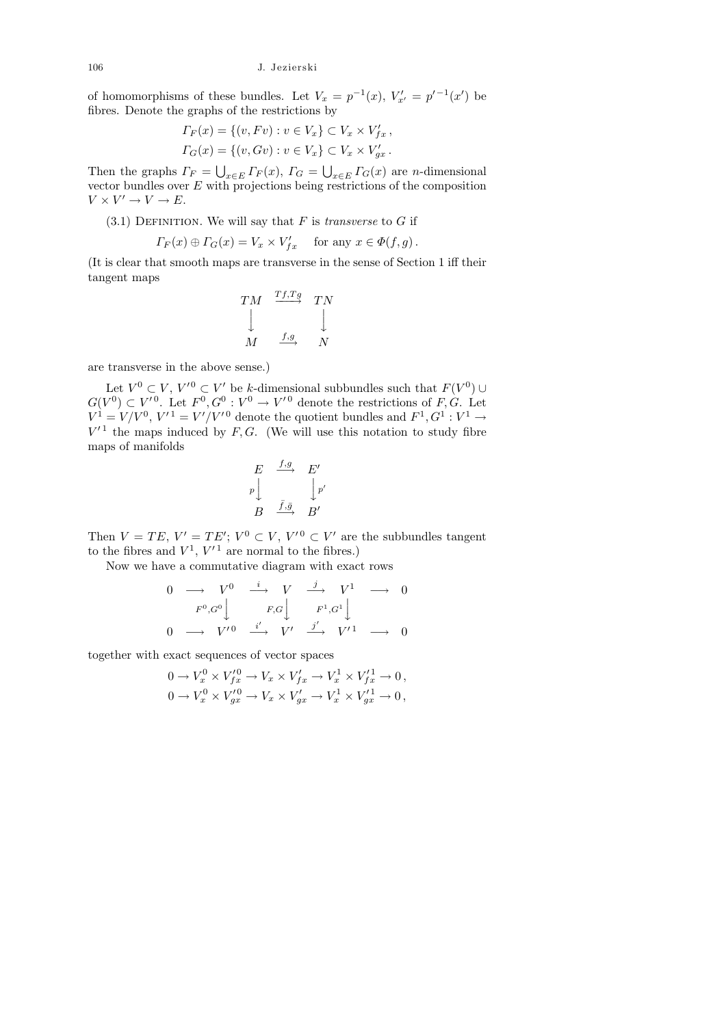of homomorphisms of these bundles. Let  $V_x = p^{-1}(x)$ ,  $V'_{x'} = p'^{-1}(x')$  be fibres. Denote the graphs of the restrictions by

$$
\Gamma_F(x) = \{(v, Fv) : v \in V_x\} \subset V_x \times V'_{fx},
$$
  

$$
\Gamma_G(x) = \{(v, Gv) : v \in V_x\} \subset V_x \times V'_{gx}.
$$

Then the graphs  $\Gamma_F = \bigcup_{x \in E} \Gamma_F(x)$ ,  $\Gamma_G = \bigcup_{x \in E} \Gamma_G(x)$  are *n*-dimensional vector bundles over  $E$  with projections being restrictions of the composition  $V \times V' \to V \to E.$ 

 $(3.1)$  DEFINITION. We will say that F is *transverse* to G if

$$
\Gamma_F(x) \oplus \Gamma_G(x) = V_x \times V'_{fx} \quad \text{ for any } x \in \Phi(f, g) .
$$

(It is clear that smooth maps are transverse in the sense of Section 1 iff their tangent maps

$$
\begin{array}{ccc}\nTM & \xrightarrow{Tf,Tg} & TN \\
\downarrow & & \downarrow \\
M & \xrightarrow{f,g} & N\n\end{array}
$$

are transverse in the above sense.)

Let  $V^0 \subset V$ ,  $V'^0 \subset V'$  be k-dimensional subbundles such that  $F(V^0) \cup$  $G(V^0) \subset V'^0$ . Let  $F^0, G^0: V^0 \to V'^0$  denote the restrictions of F, G. Let  $V^1 = V/V^0$ ,  $V'^1 = V'/V'^0$  denote the quotient bundles and  $F^1, G^1 : V^1 \to V'$  $V'^1$  the maps induced by F, G. (We will use this notation to study fibre maps of manifolds

$$
\begin{array}{ccc}\nE & \xrightarrow{f,g} & E' \\
p \downarrow & & \downarrow p' \\
B & \xrightarrow{\bar{f}, \bar{g}} & B'\n\end{array}
$$

Then  $V = TE$ ,  $V' = TE'$ ;  $V^0 \subset V$ ,  $V'^0 \subset V'$  are the subbundles tangent to the fibres and  $V^1$ ,  $V'^1$  are normal to the fibres.)

Now we have a commutative diagram with exact rows

$$
\begin{array}{ccccccc}\n0 & \longrightarrow & V^{0} & \xrightarrow{i} & V & \xrightarrow{j} & V^{1} & \longrightarrow & 0 \\
F^{0}, G^{0} & & & F, G & & F^{1}, G^{1} & \\
0 & \longrightarrow & V^{\prime 0} & \xrightarrow{i'} & V^{\prime} & \xrightarrow{j'} & V^{\prime 1} & \longrightarrow & 0\n\end{array}
$$

together with exact sequences of vector spaces

$$
\begin{aligned} 0\to V^0_x\times V'^0_{fx} &\to V_x\times V'_{fx}\to V^1_x\times V'^1_{fx}\to 0\,,\\ 0\to V^0_x\times V'^0_{gx} &\to V_x\times V'_{gx}\to V^1_x\times V'^1_{gx}\to 0\,, \end{aligned}
$$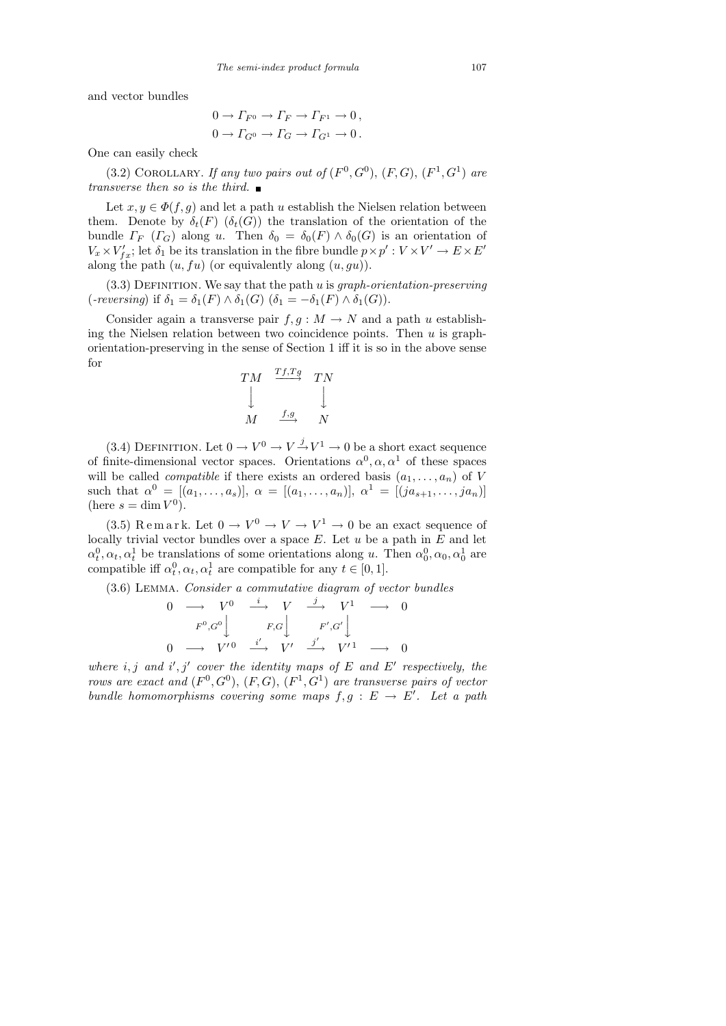and vector bundles

$$
0 \to \Gamma_{F^0} \to \Gamma_F \to \Gamma_{F^1} \to 0,
$$
  

$$
0 \to \Gamma_{G^0} \to \Gamma_G \to \Gamma_{G^1} \to 0.
$$

One can easily check

(3.2) COROLLARY. If any two pairs out of  $(F^0, G^0)$ ,  $(F, G)$ ,  $(F^1, G^1)$  are transverse then so is the third.  $\blacksquare$ 

Let  $x, y \in \Phi(f, g)$  and let a path u establish the Nielsen relation between them. Denote by  $\delta_t(F)$  ( $\delta_t(G)$ ) the translation of the orientation of the bundle  $\Gamma_F$  ( $\Gamma_G$ ) along u. Then  $\delta_0 = \delta_0(F) \wedge \delta_0(G)$  is an orientation of  $V_x \times V'_{fx}$ ; let  $\delta_1$  be its translation in the fibre bundle  $p \times p' : V \times V' \to E \times E'$ along the path  $(u, fu)$  (or equivalently along  $(u, gu)$ ).

 $(3.3)$  DEFINITION. We say that the path u is *graph-orientation-preserving* (-reversing) if  $\delta_1 = \delta_1(F) \wedge \delta_1(G)$   $(\delta_1 = -\delta_1(F) \wedge \delta_1(G)).$ 

Consider again a transverse pair  $f, g : M \to N$  and a path u establishing the Nielsen relation between two coincidence points. Then  $u$  is graphorientation-preserving in the sense of Section 1 iff it is so in the above sense for

$$
\begin{array}{ccc}\nTM & \xrightarrow{Tf,Tg} & TN \\
\downarrow & & \downarrow \\
M & \xrightarrow{f,g} & N\n\end{array}
$$

(3.4) DEFINITION. Let  $0 \to V^0 \to V \to V^1 \to 0$  be a short exact sequence of finite-dimensional vector spaces. Orientations  $\alpha^0, \alpha, \alpha^1$  of these spaces will be called *compatible* if there exists an ordered basis  $(a_1, \ldots, a_n)$  of V such that  $\alpha^0 = [(a_1, \ldots, a_s)], \alpha = [(a_1, \ldots, a_n)], \alpha^1 = [(ja_{s+1}, \ldots, ja_n)]$ (here  $s = \dim V^0$ ).

(3.5) Remark. Let  $0 \to V^0 \to V \to V^1 \to 0$  be an exact sequence of locally trivial vector bundles over a space  $E$ . Let  $u$  be a path in  $E$  and let  $\alpha_t^0, \alpha_t, \alpha_t^1$  be translations of some orientations along u. Then  $\alpha_0^0, \alpha_0, \alpha_0^1$  are compatible iff  $\alpha_t^0, \alpha_t, \alpha_t^1$  are compatible for any  $t \in [0, 1]$ .

(3.6) Lemma. Consider a commutative diagram of vector bundles

$$
\begin{array}{ccccccccc}\n0 & \longrightarrow & V^0 & \xrightarrow{i} & V & \xrightarrow{j} & V^1 & \longrightarrow & 0 \\
F^0, G^0 & & & F, G & & F', G' & \\
0 & \longrightarrow & V'^0 & \xrightarrow{i'} & V' & \xrightarrow{j'} & V'^1 & \longrightarrow & 0\n\end{array}
$$

where i, j and i', j' cover the identity maps of E and E' respectively, the rows are exact and  $(F^0, G^0)$ ,  $(F, G)$ ,  $(F^1, G^1)$  are transverse pairs of vector bundle homomorphisms covering some maps  $f, g : E \to E'$ . Let a path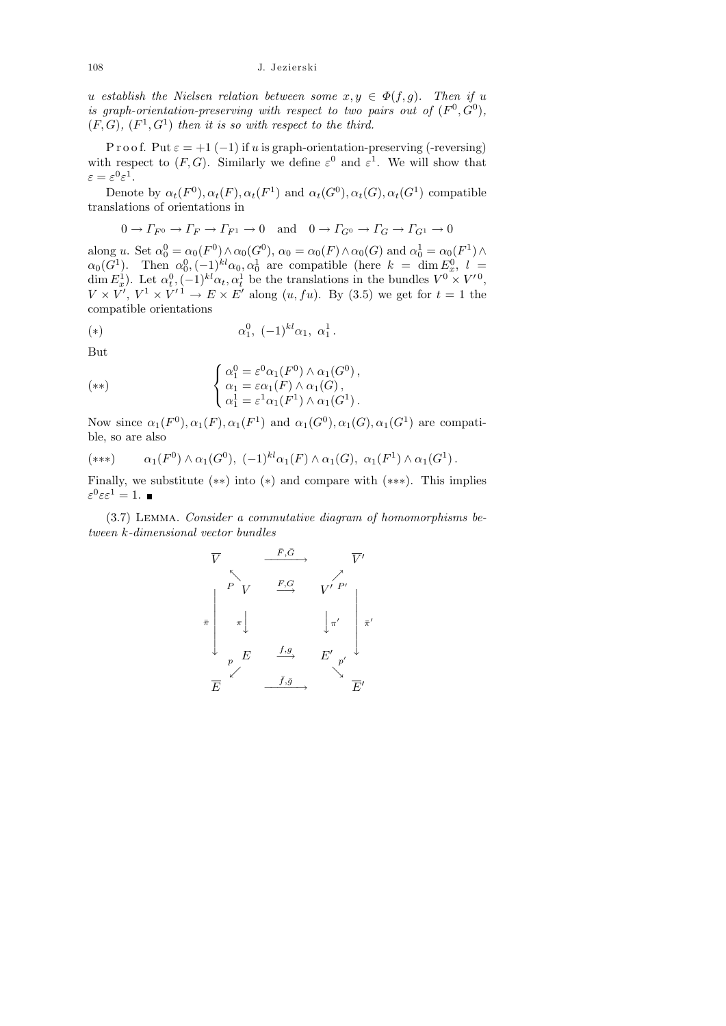u establish the Nielsen relation between some  $x, y \in \Phi(f, g)$ . Then if u is graph-orientation-preserving with respect to two pairs out of  $(F^0, G^0)$ ,  $(F, G), (F<sup>1</sup>, G<sup>1</sup>)$  then it is so with respect to the third.

P r o o f. Put  $\varepsilon = +1$  (-1) if u is graph-orientation-preserving (-reversing) with respect to  $(F, G)$ . Similarly we define  $\varepsilon^0$  and  $\varepsilon^1$ . We will show that  $\varepsilon = \varepsilon^0 \varepsilon^1.$ 

Denote by  $\alpha_t(F^0), \alpha_t(F), \alpha_t(F^1)$  and  $\alpha_t(G^0), \alpha_t(G), \alpha_t(G^1)$  compatible translations of orientations in

$$
0 \to \Gamma_{F^0} \to \Gamma_F \to \Gamma_{F^1} \to 0 \quad \text{and} \quad 0 \to \Gamma_{G^0} \to \Gamma_G \to \Gamma_{G^1} \to 0
$$

along u. Set  $\alpha_0^0 = \alpha_0(F^0) \wedge \alpha_0(G^0)$ ,  $\alpha_0 = \alpha_0(F) \wedge \alpha_0(G)$  and  $\alpha_0^1 = \alpha_0(F^1) \wedge$  $\alpha_0(G^1)$ . Then  $\alpha_0^0, (-1)^{kl}\alpha_0, \alpha_0^1$  are compatible (here  $k = \dim E_x^0$ ,  $l =$ dim  $E_x^1$ ). Let  $\alpha_t^0$ ,  $(-1)^{kl}\alpha_t$ ,  $\alpha_t^1$  be the translations in the bundles  $V^0 \times V'^0$ ,  $V \times V'$ ,  $V^1 \times V'^1 \to E \times E'$  along  $(u, fu)$ . By (3.5) we get for  $t = 1$  the compatible orientations

(\*) 
$$
\alpha_1^0, (-1)^{kl} \alpha_1, \alpha_1^1
$$
.

But

$$
(**) \qquad \begin{cases} \alpha_1^0 = \varepsilon^0 \alpha_1(F^0) \wedge \alpha_1(G^0), \\ \alpha_1 = \varepsilon \alpha_1(F) \wedge \alpha_1(G), \\ \alpha_1^1 = \varepsilon^1 \alpha_1(F^1) \wedge \alpha_1(G^1). \end{cases}
$$

Now since  $\alpha_1(F^0), \alpha_1(F), \alpha_1(F^1)$  and  $\alpha_1(G^0), \alpha_1(G), \alpha_1(G^1)$  are compatible, so are also

$$
(***) \qquad \alpha_1(F^0) \wedge \alpha_1(G^0), \ (-1)^{kl}\alpha_1(F) \wedge \alpha_1(G), \ \alpha_1(F^1) \wedge \alpha_1(G^1).
$$

Finally, we substitute (∗∗) into (∗) and compare with (∗∗∗). This implies  $\varepsilon^0 \varepsilon \varepsilon^1 = 1.$ 

(3.7) Lemma. Consider a commutative diagram of homomorphisms between k-dimensional vector bundles

$$
\overline{V} \xrightarrow{\overline{F}, \overline{G}} \overline{V'}
$$
\n
$$
\overline{\pi} \begin{bmatrix} P & \xrightarrow{\overline{F}, \overline{G}} & \overline{V'} \\ \uparrow & \searrow & \searrow & \nearrow \\ \pi & & \downarrow & \downarrow \pi' \\ \downarrow & \nearrow & \nearrow & \nearrow \\ \hline E & & \xrightarrow{\overline{f}, \overline{g}} & E' & \searrow \\ \overline{E} & & \xrightarrow{\overline{f}, \overline{g}} & & \searrow \end{bmatrix} \overline{\pi'}
$$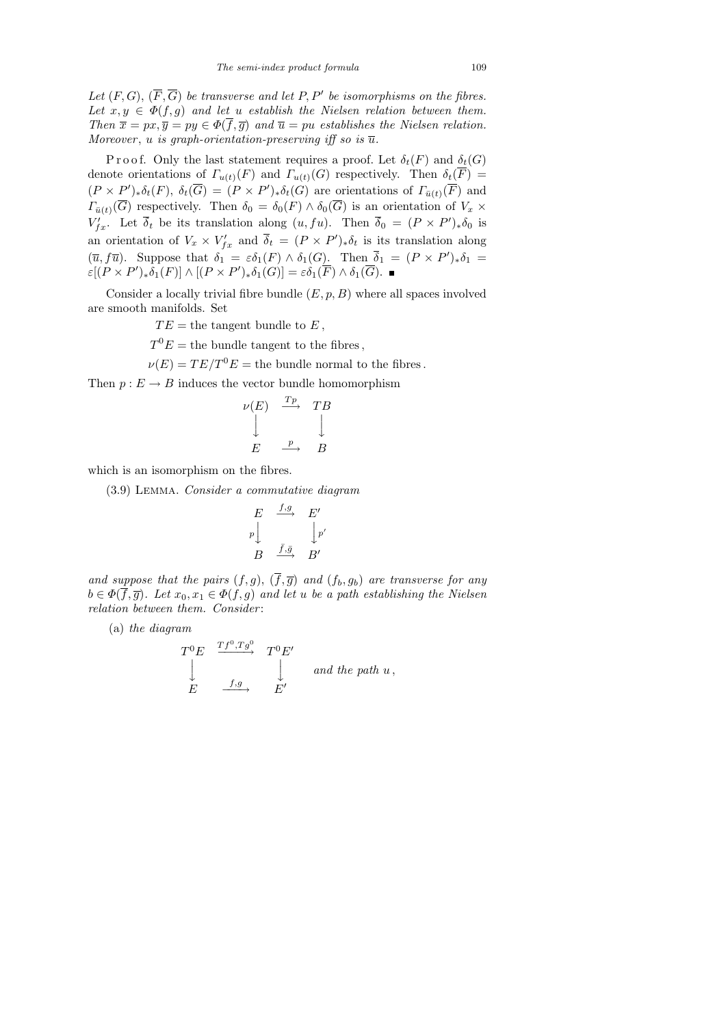Let  $(F, G), (\overline{F}, \overline{G})$  be transverse and let P, P' be isomorphisms on the fibres. Let  $x, y \in \Phi(f, g)$  and let u establish the Nielsen relation between them. Then  $\bar{x} = px, \bar{y} = py \in \Phi(\bar{f}, \bar{g})$  and  $\bar{u} = pu$  establishes the Nielsen relation. Moreover, u is graph-orientation-preserving iff so is  $\overline{u}$ .

P r o o f. Only the last statement requires a proof. Let  $\delta_t(F)$  and  $\delta_t(G)$ denote orientations of  $\Gamma_{u(t)}(F)$  and  $\Gamma_{u(t)}(G)$  respectively. Then  $\delta_t(F) =$  $(P \times P')_* \delta_t(F)$ ,  $\delta_t(\overline{G}) = (P \times P')_* \delta_t(G)$  are orientations of  $\Gamma_{\bar{u}(t)}(\overline{F})$  and  $\Gamma_{\bar{u}(t)}(\overline{G})$  respectively. Then  $\delta_0 = \delta_0(F) \wedge \delta_0(\overline{G})$  is an orientation of  $V_x \times$  $V'_{fx}$ . Let  $\overline{\delta}_t$  be its translation along  $(u, fu)$ . Then  $\overline{\delta}_0 = (P \times P')_* \delta_0$  is an orientation of  $V_x \times V_{fx}$  and  $\overline{\delta}_t = (P \times P')_* \delta_t$  is its translation along  $(\overline{u}, f\overline{u})$ . Suppose that  $\delta_1 = \varepsilon \delta_1(F) \wedge \delta_1(G)$ . Then  $\overline{\delta}_1 = (P \times P')_{*} \delta_1 =$  $\varepsilon[(P \times P')_* \delta_1(F)] \wedge [(P \times P')_* \delta_1(G)] = \varepsilon \delta_1(F) \wedge \delta_1(\overline{G}).$ 

Consider a locally trivial fibre bundle  $(E, p, B)$  where all spaces involved are smooth manifolds. Set

 $TE =$  the tangent bundle to E,

 $T^{0}E =$  the bundle tangent to the fibres,

 $\nu(E) = TE/T^{0}E$  = the bundle normal to the fibres.

Then  $p : E \to B$  induces the vector bundle homomorphism

$$
\begin{array}{ccc}\n\nu(E) & \xrightarrow{Tp} & TB \\
\downarrow & & \downarrow \\
E & \xrightarrow{p} & B\n\end{array}
$$

which is an isomorphism on the fibres.

(3.9) Lemma. Consider a commutative diagram

$$
\begin{array}{ccc}\nE & \xrightarrow{f,g} & E' \\
p \downarrow & & \downarrow p' \\
B & \xrightarrow{\bar{f}, \bar{g}} & B'\n\end{array}
$$

and suppose that the pairs  $(f, g)$ ,  $(\overline{f}, \overline{g})$  and  $(f_b, g_b)$  are transverse for any  $b \in \Phi(\overline{f}, \overline{g})$ . Let  $x_0, x_1 \in \Phi(f, g)$  and let u be a path establishing the Nielsen relation between them. Consider :

(a) the diagram

$$
\begin{array}{ccc}\nT^0 E & \xrightarrow{T} f^0, Tg^0 & T^0 E' \\
\downarrow & & \downarrow & \text{and the path } u \,, \\
E & \xrightarrow{f,g} & E' & \n\end{array}
$$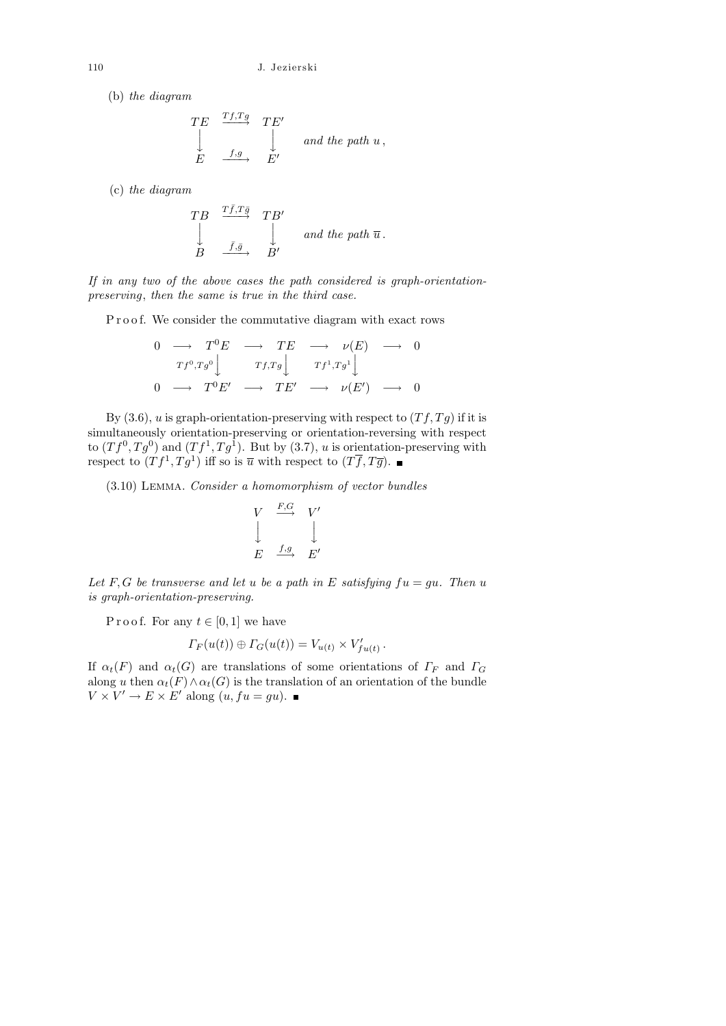(b) the diagram

$$
\begin{array}{ccc}\nTE & \xrightarrow{Tf,Tg} & TE' \\
\downarrow & & \downarrow \\
E & \xrightarrow{f,g} & E'\n\end{array}\n\quad and the path u,
$$

(c) the diagram

$$
\begin{array}{ccc}\nTB & \xrightarrow{T\bar{f}, T\bar{g}} & TB' \\
\downarrow & & \downarrow & \text{and the path }\overline{u} \ . \\
B & \xrightarrow{\bar{f}, \bar{g}} & B'\n\end{array}
$$

If in any two of the above cases the path considered is graph-orientationpreserving, then the same is true in the third case.

P r o o f. We consider the commutative diagram with exact rows

$$
\begin{array}{ccccccc}\n0 & \longrightarrow & T^0E & \longrightarrow & TE & \longrightarrow & \nu(E) & \longrightarrow & 0 \\
 & & \uparrow_{f^0,Tg^0} & & & \uparrow_{f,Tg} & & \uparrow_{f^1,Tg^1} & & \\
0 & \longrightarrow & T^0E' & \longrightarrow & TE' & \longrightarrow & \nu(E') & \longrightarrow & 0\n\end{array}
$$

By (3.6), u is graph-orientation-preserving with respect to  $(Tf, Tg)$  if it is simultaneously orientation-preserving or orientation-reversing with respect to  $(Tf^0, Tg^0)$  and  $(Tf^1, Tg^1)$ . But by (3.7), u is orientation-preserving with respect to  $(Tf^1, Tg^1)$  iff so is  $\overline{u}$  with respect to  $(T\overline{f}, T\overline{g})$ .

(3.10) Lemma. Consider a homomorphism of vector bundles

$$
\begin{array}{ccc}\nV & \xrightarrow{F,G} & V' \\
\downarrow & & \downarrow \\
E & \xrightarrow{f,g} & E'\n\end{array}
$$

Let F, G be transverse and let u be a path in E satisfying  $fu = gu$ . Then u is graph-orientation-preserving.

P r o o f. For any  $t \in [0,1]$  we have

$$
\Gamma_F(u(t)) \oplus \Gamma_G(u(t)) = V_{u(t)} \times V'_{fu(t)}.
$$

If  $\alpha_t(F)$  and  $\alpha_t(G)$  are translations of some orientations of  $\Gamma_F$  and  $\Gamma_G$ along u then  $\alpha_t(F) \wedge \alpha_t(G)$  is the translation of an orientation of the bundle  $V \times V' \rightarrow E \times E'$  along  $(u, fu = gu)$ .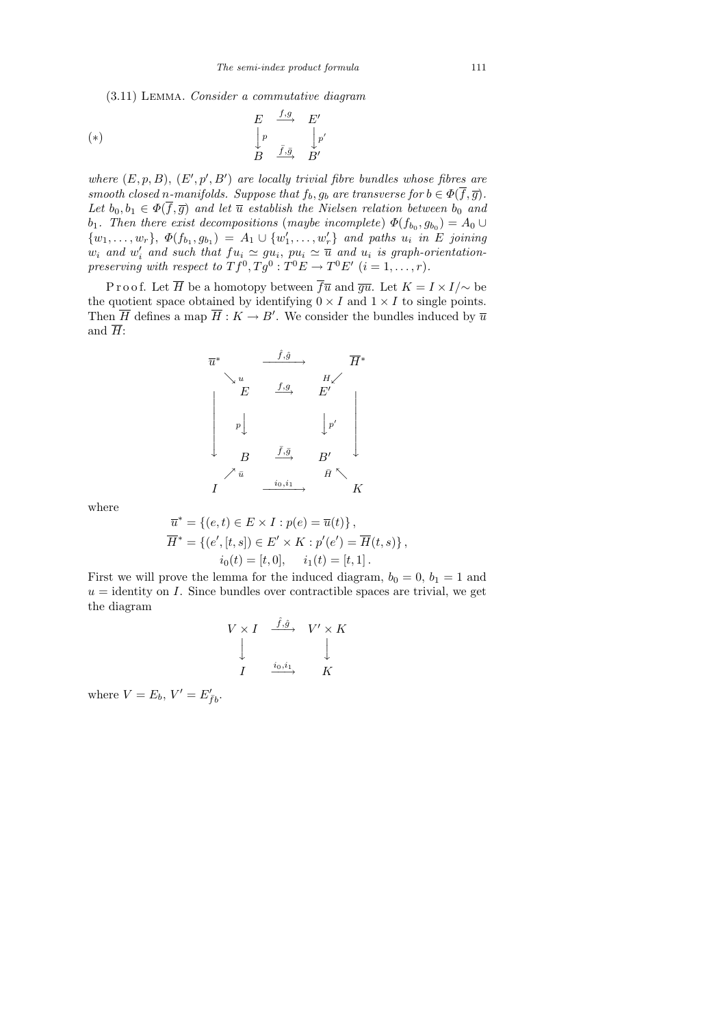(3.11) Lemma. Consider a commutative diagram

$$
\begin{array}{ccc}\n(E & \xrightarrow{f,g} & E' \\
\downarrow p & & \downarrow p' \\
B & \xrightarrow{\bar{f}, \bar{g}} & B'\n\end{array}
$$

where  $(E, p, B)$ ,  $(E', p', B')$  are locally trivial fibre bundles whose fibres are smooth closed n-manifolds. Suppose that  $f_b, g_b$  are transverse for  $b \in \Phi(\overline{f}, \overline{g})$ . Let  $b_0, b_1 \in \Phi(\overline{f}, \overline{g})$  and let  $\overline{u}$  establish the Nielsen relation between  $b_0$  and  $b_1$ . Then there exist decompositions (maybe incomplete)  $\Phi(f_{b_0}, g_{b_0}) = A_0 \cup$  $\{w_1, \ldots, w_r\}, \ \Phi(f_{b_1}, g_{b_1}) = A_1 \cup \{w'_1, \ldots, w'_r\} \text{ and paths } u_i \text{ in } E \text{ joining }$  $w_i$  and  $w'_i$  and such that  $fu_i \simeq gu_i$ ,  $pu_i \simeq \overline{u}$  and  $u_i$  is graph-orientationpreserving with respect to  $Tf^0, Tg^0: T^0E \to T^0E'$   $(i = 1, ..., r)$ .

P r o o f. Let  $\overline{H}$  be a homotopy between  $\overline{f}\overline{u}$  and  $\overline{g}\overline{u}$ . Let  $K = I \times I/\sim$  be the quotient space obtained by identifying  $0 \times I$  and  $1 \times I$  to single points. Then  $\overline{H}$  defines a map  $\overline{H}: K \to B'$ . We consider the bundles induced by  $\overline{u}$ and  $\overline{H}$ :



where

$$
\overline{u}^* = \{(e, t) \in E \times I : p(e) = \overline{u}(t)\}, \n\overline{H}^* = \{(e', [t, s]) \in E' \times K : p'(e') = \overline{H}(t, s)\}, \n i_0(t) = [t, 0], \quad i_1(t) = [t, 1].
$$

First we will prove the lemma for the induced diagram,  $b_0 = 0$ ,  $b_1 = 1$  and  $u =$  identity on I. Since bundles over contractible spaces are trivial, we get the diagram

$$
V \times I \xrightarrow{\hat{f}, \hat{g}} V' \times K
$$
  
\n
$$
\downarrow \qquad \qquad \downarrow
$$
  
\n
$$
I \xrightarrow{i_0, i_1} K
$$

where  $V = E_b$ ,  $V' = E'_{\bar{f}b}$ .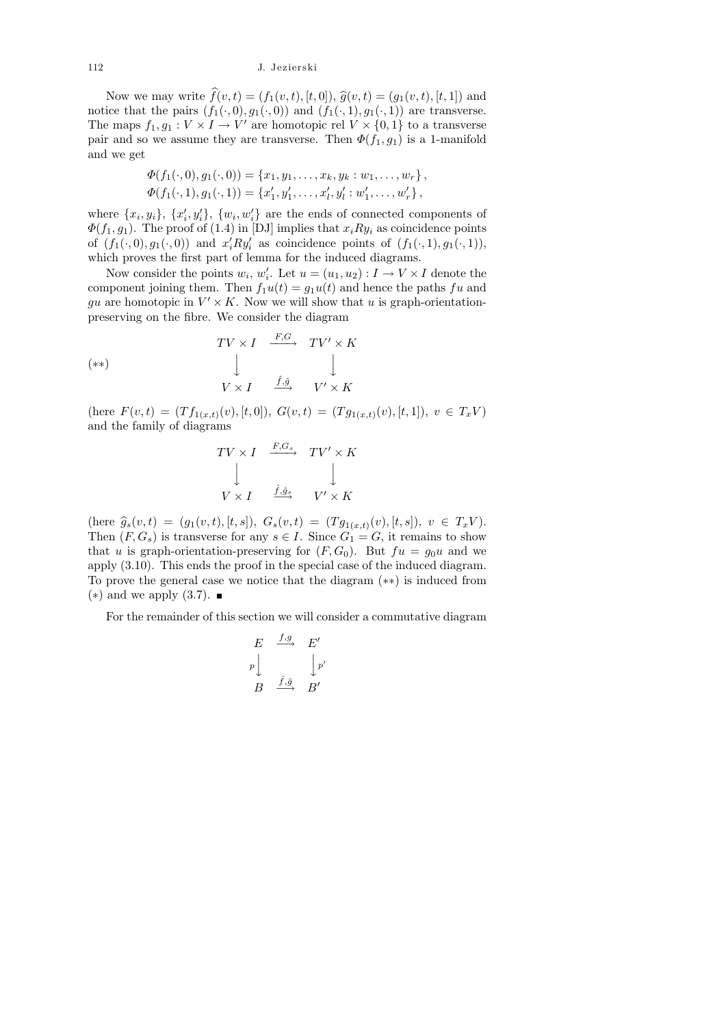Now we may write  $f(v, t) = (f_1(v, t), [t, 0]), \hat{g}(v, t) = (g_1(v, t), [t, 1])$  and<br>ice that the pairs  $(f_1(v, 0), g_2(v, 0))$  and  $(f_1(v, 1), g_2(v, 1))$  are transverse. notice that the pairs  $(f_1(\cdot, 0), g_1(\cdot, 0))$  and  $(f_1(\cdot, 1), g_1(\cdot, 1))$  are transverse. The maps  $f_1, g_1: V \times I \to V'$  are homotopic rel  $V \times \{0, 1\}$  to a transverse pair and so we assume they are transverse. Then  $\Phi(f_1, g_1)$  is a 1-manifold and we get

$$
\Phi(f_1(\cdot,0),g_1(\cdot,0)) = \{x_1,y_1,\ldots,x_k,y_k:w_1,\ldots,w_r\},
$$
  

$$
\Phi(f_1(\cdot,1),g_1(\cdot,1)) = \{x'_1,y'_1,\ldots,x'_l,y'_l:w'_1,\ldots,w'_r\},
$$

where  $\{x_i, y_i\}, \{x'_i, y'_i\}, \{w_i, w'_i\}$  are the ends of connected components of  $\Phi(f_1, g_1)$ . The proof of (1.4) in [DJ] implies that  $x_i R y_i$  as coincidence points of  $(f_1(\cdot,0), g_1(\cdot,0))$  and  $x_i'Ry_i'$  as coincidence points of  $(f_1(\cdot,1), g_1(\cdot,1)),$ which proves the first part of lemma for the induced diagrams.

Now consider the points  $w_i$ ,  $w'_i$ . Let  $u = (u_1, u_2) : I \to V \times I$  denote the component joining them. Then  $f_1u(t) = g_1u(t)$  and hence the paths fu and gu are homotopic in  $V' \times K$ . Now we will show that u is graph-orientationpreserving on the fibre. We consider the diagram

$$
(**)
$$
\n
$$
TV \times I \xrightarrow{F,G} TV' \times K
$$
\n
$$
\downarrow \qquad \qquad \downarrow
$$
\n
$$
V \times I \xrightarrow{\hat{f}, \hat{g}} V' \times K
$$

(here  $F(v,t) = (Tf_{1(x,t)}(v), [t,0]), G(v,t) = (Tg_{1(x,t)}(v), [t,1]), v \in T_xV$ ) and the family of diagrams

$$
TV \times I \xrightarrow{F, G_s} TV' \times K
$$
  
\n
$$
\downarrow \qquad \qquad \downarrow
$$
  
\n
$$
V \times I \xrightarrow{\hat{f}, \hat{g}_s} V' \times K
$$

(here  $\hat{g}_s(v,t) = (g_1(v,t), [t,s])$ ,  $G_s(v,t) = (Tg_{1(x,t)}(v), [t,s])$ ,  $v \in T_xV$ ).<br>Then  $(F, G)$  is transverse for any  $s \in I$ . Since  $G = G$  it remains to show Then  $(F, G_s)$  is transverse for any  $s \in I$ . Since  $G_1 = G$ , it remains to show that u is graph-orientation-preserving for  $(F, G_0)$ . But  $fu = g_0u$  and we apply (3.10). This ends the proof in the special case of the induced diagram. To prove the general case we notice that the diagram (∗∗) is induced from  $(*)$  and we apply  $(3.7)$ . ■

For the remainder of this section we will consider a commutative diagram

$$
\begin{array}{ccc}\nE & \xrightarrow{f,g} & E' \\
p \downarrow & & \downarrow p' \\
B & \xrightarrow{\bar{f}, \bar{g}} & B'\n\end{array}
$$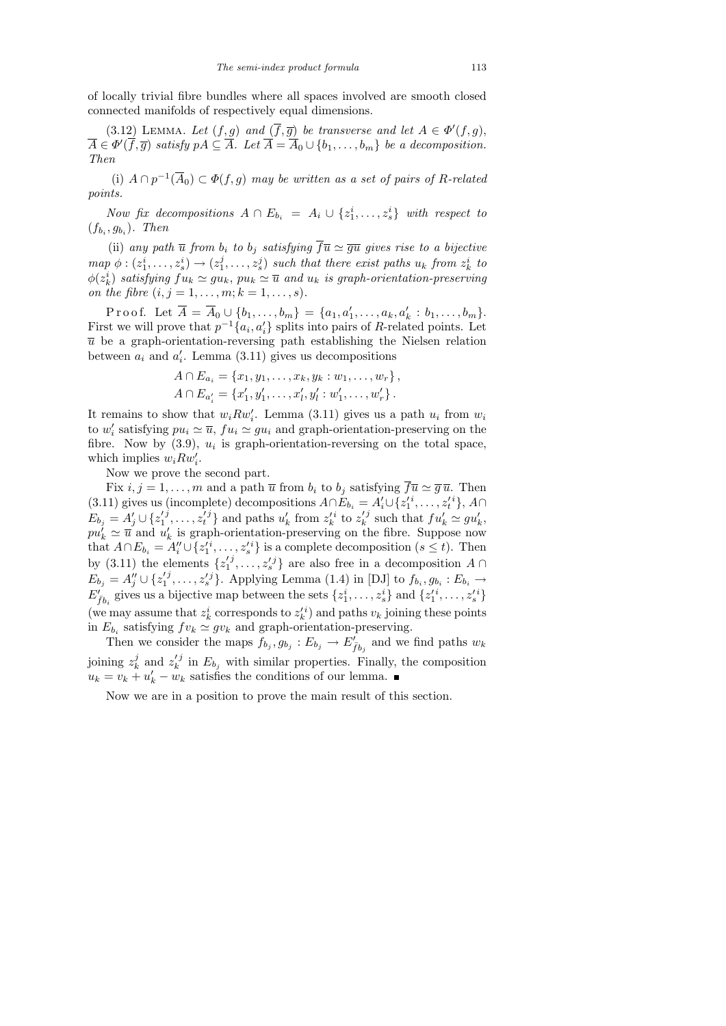of locally trivial fibre bundles where all spaces involved are smooth closed connected manifolds of respectively equal dimensions.

(3.12) LEMMA. Let  $(f, g)$  and  $(\overline{f}, \overline{g})$  be transverse and let  $A \in \Phi'(f, g)$ ,  $\overline{A} \in \Phi'(\overline{f}, \overline{g})$  satisfy  $pA \subseteq \overline{A}$ . Let  $\overline{A} = \overline{A}_0 \cup \{b_1, \ldots, b_m\}$  be a decomposition. Then

(i)  $A \cap p^{-1}(\overline{A}_0) \subset \Phi(f, g)$  may be written as a set of pairs of R-related points.

Now fix decompositions  $A \cap E_{b_i} = A_i \cup \{z_1^i, \ldots, z_s^i\}$  with respect to  $(f_{b_i}, g_{b_i})$ . Then

(ii) any path  $\overline{u}$  from  $b_i$  to  $b_j$  satisfying  $\overline{f}\overline{u} \simeq \overline{gu}$  gives rise to a bijective  $map \phi : (z_1^i, \ldots, z_s^i) \rightarrow (z_1^j)$  $(i_1^j, \ldots, i_s^j)$  such that there exist paths  $u_k$  from  $z_k^i$  to  $\phi(z^i_k)$  satisfying  $fu_k \simeq gu_k$ ,  $pu_k \simeq \overline{u}$  and  $u_k$  is graph-orientation-preserving on the fibre  $(i, j = 1, ..., m; k = 1, ..., s)$ .

Proof. Let  $\overline{A} = \overline{A}_0 \cup \{b_1, \ldots, b_m\} = \{a_1, a'_1, \ldots, a_k, a'_k : b_1, \ldots, b_m\}.$ First we will prove that  $p^{-1}\{a_i, a_i'\}$  splits into pairs of R-related points. Let  $\overline{u}$  be a graph-orientation-reversing path establishing the Nielsen relation between  $a_i$  and  $a'_i$ . Lemma (3.11) gives us decompositions

$$
A \cap E_{a_i} = \{x_1, y_1, \dots, x_k, y_k : w_1, \dots, w_r\},
$$
  

$$
A \cap E_{a'_i} = \{x'_1, y'_1, \dots, x'_l, y'_l : w'_1, \dots, w'_r\}.
$$

It remains to show that  $w_i R w'_i$ . Lemma (3.11) gives us a path  $u_i$  from  $w_i$ to  $w'_i$  satisfying  $pu_i \simeq \overline{u}$ ,  $fu_i \simeq gu_i$  and graph-orientation-preserving on the fibre. Now by  $(3.9)$ ,  $u_i$  is graph-orientation-reversing on the total space, which implies  $w_i R w'_i$ .

Now we prove the second part.

Fix  $i, j = 1, \ldots, m$  and a path  $\overline{u}$  from  $b_i$  to  $b_j$  satisfying  $\overline{f} \overline{u} \simeq \overline{g} \overline{u}$ . Then (3.11) gives us (incomplete) decompositions  $A \cap E_{b_i} = A'_i \cup \{z_1'^i, \ldots, z_t'^i\}, A \cap$  $E_{b_j} = A'_j \cup \{z_1^{'j}$  $\{i_1^j, \ldots, z_t^j\}$  and paths  $u'_k$  from  $z'^i_k$  to  $z'^j_k$  $s_k^{\prime j}$  such that  $fu_k^{\prime} \simeq gu_k^{\prime}$ ,  $pu'_{k} \simeq \overline{u}$  and  $u'_{k}$  is graph-orientation-preserving on the fibre. Suppose now that  $A \cap E_{b_i} = A''_i \cup \{z'^i_1, \ldots, z'^i_s\}$  is a complete decomposition  $(s \leq t)$ . Then by (3.11) the elements  $\{z_1^{\prime j}$  $\{1, \ldots, z_s' \}$  are also free in a decomposition  $A \cap$  $E_{b_j} = A''_j \cup \{z'^j_1$  $\{f_1^j, \ldots, f_s^j\}$ . Applying Lemma (1.4) in [DJ] to  $f_{b_i}, g_{b_i}: E_{b_i} \to$  $E'_{\bar{f}b_i}$  gives us a bijective map between the sets  $\{z_1^i, \ldots, z_s^i\}$  and  $\{z_1'^i, \ldots, z_s'^i\}$ (we may assume that  $z_k^i$  corresponds to  $z_k^{\prime i}$ ) and paths  $v_k$  joining these points in  $E_{b_i}$  satisfying  $fv_k \simeq gv_k$  and graph-orientation-preserving.

Then we consider the maps  $f_{b_j}, g_{b_j}: E_{b_j} \to E'_{\bar{f}b_j}$  and we find paths  $w_k$ joining  $z_k^j$  $\frac{j}{k}$  and  $z'^{j}_k$  $\binom{f}{k}$  in  $E_{b_j}$  with similar properties. Finally, the composition  $u_k = v_k + u'_k - w_k$  satisfies the conditions of our lemma.

Now we are in a position to prove the main result of this section.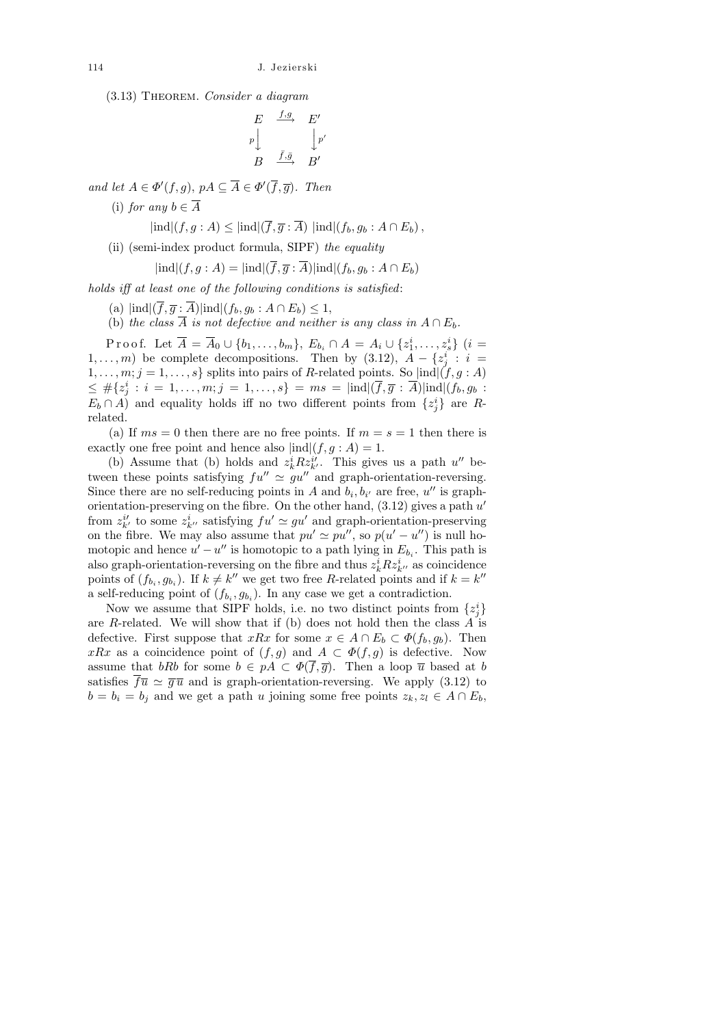(3.13) Theorem. Consider a diagram

$$
\begin{array}{ccc}\nE & \xrightarrow{f,g} & E' \\
p \downarrow & & \downarrow p' \\
B & \xrightarrow{\bar{f}, \bar{g}} & B'\n\end{array}
$$

and let  $A \in \Phi'(f,g)$ ,  $pA \subseteq \overline{A} \in \Phi'(\overline{f}, \overline{g})$ . Then

(i) for any  $b \in \overline{A}$ 

$$
|\text{ind}|(f,g:A) \leq |\text{ind}|(f,\overline{g}:\overline{A})| |\text{ind}|(f_b,g_b:A\cap E_b),
$$

(ii) (semi-index product formula, SIPF) the equality

$$
|\text{ind}|(f,g:A) = |\text{ind}|(f,\overline{g}:\overline{A})|\text{ind}|(f_b,g_b:A\cap E_b)
$$

holds iff at least one of the following conditions is satisfied:

(a)  $|\text{ind}|(\overline{f}, \overline{g} : \overline{A})| \text{ind}|(f_b, g_b : A \cap E_b) \leq 1$ ,

(b) the class  $\overline{A}$  is not defective and neither is any class in  $A \cap E_b$ .

Proof. Let  $\overline{A} = \overline{A}_0 \cup \{b_1, \ldots, b_m\}$ ,  $E_{b_i} \cap A = A_i \cup \{z_1^i, \ldots, z_s^i\}$   $(i =$ 1,...,*m*) be complete decompositions. Then by (3.12),  $A - \{z_j^i : i =$  $1, \ldots, m; j = 1, \ldots, s$  splits into pairs of R-related points. So  $\text{ind}|(f, g : A)$  $0 \leq \#\{z^i_j \,:\, i \,=\, 1,\ldots, m; j \,=\, 1,\ldots, s\} \,=\, ms \,=\, |{\rm ind}|(\overline{f},\overline{g} \,:\, \overline{A})| {\rm ind}|(f_b,g_b \,:\, \overline{A})|$  $E_b \cap A$ ) and equality holds iff no two different points from  $\{z_j^i\}$  are Rrelated.

(a) If  $ms = 0$  then there are no free points. If  $m = s = 1$  then there is exactly one free point and hence also  $|ind|(f, g : A) = 1$ .

(b) Assume that (b) holds and  $z_k^i R z_{k'}^{i'}$ . This gives us a path u'' between these points satisfying  $fu'' \approx gu''$  and graph-orientation-reversing. Since there are no self-reducing points in A and  $b_i, b_{i'}$  are free, u'' is graphorientation-preserving on the fibre. On the other hand,  $(3.12)$  gives a path  $u'$ from  $z_{k'}^{i'}$  to some  $z_{k''}^{i}$  satisfying  $fu' \simeq gu'$  and graph-orientation-preserving on the fibre. We may also assume that  $pu' \simeq pu''$ , so  $p(u'-u'')$  is null homotopic and hence  $u' - u''$  is homotopic to a path lying in  $E_{b_i}$ . This path is also graph-orientation-reversing on the fibre and thus  $z_k^i R z_{k''}^i$  as coincidence points of  $(f_{b_i}, g_{b_i})$ . If  $k \neq k''$  we get two free R-related points and if  $k = k''$ a self-reducing point of  $(f_{b_i}, g_{b_i})$ . In any case we get a contradiction.

Now we assume that SIPF holds, i.e. no two distinct points from  $\{z_j^i\}$ are R-related. We will show that if (b) does not hold then the class  $\overline{A}$  is defective. First suppose that  $xRx$  for some  $x \in A \cap E_b \subset \Phi(f_b, g_b)$ . Then xRx as a coincidence point of  $(f, g)$  and  $A \subset \Phi(f, g)$  is defective. Now assume that bRb for some  $b \in pA \subset \Phi(\overline{f}, \overline{g})$ . Then a loop  $\overline{u}$  based at b satisfies  $\overline{f}\overline{u} \simeq \overline{g}\overline{u}$  and is graph-orientation-reversing. We apply (3.12) to  $b = b_i = b_j$  and we get a path u joining some free points  $z_k, z_l \in A \cap E_b$ ,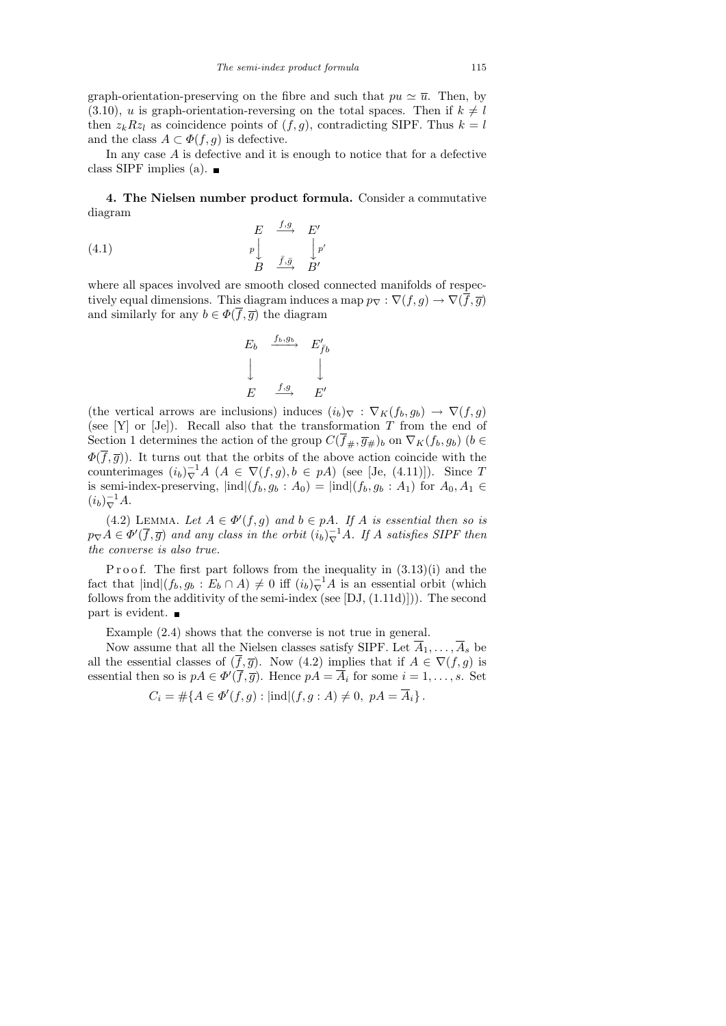graph-orientation-preserving on the fibre and such that  $pu \approx \overline{u}$ . Then, by  $(3.10)$ , u is graph-orientation-reversing on the total spaces. Then if  $k \neq l$ then  $z_kRz_l$  as coincidence points of  $(f, g)$ , contradicting SIPF. Thus  $k = l$ and the class  $A \subset \Phi(f, g)$  is defective.

In any case  $A$  is defective and it is enough to notice that for a defective class SIPF implies (a).  $\blacksquare$ 

4. The Nielsen number product formula. Consider a commutative diagram  $f, g$ 

(4.1) 
$$
\begin{array}{ccc}\nE & \xrightarrow{f,g} & E' \\
p & & \downarrow p' \\
B & \xrightarrow{\bar{f}, \bar{g}} & B'\n\end{array}
$$

where all spaces involved are smooth closed connected manifolds of respectively equal dimensions. This diagram induces a map  $p_{\nabla} : \nabla (f,g) \to \nabla (\overline{f},\overline{g})$ and similarly for any  $b \in \Phi(\overline{f}, \overline{g})$  the diagram

$$
E_b \xrightarrow{f_b, g_b} E'_{\bar{f}b}
$$
  

$$
\downarrow \qquad \qquad \downarrow
$$
  

$$
E \xrightarrow{f, g} E'
$$

(the vertical arrows are inclusions) induces  $(i_b)_{\nabla} : \nabla_K(f_b, g_b) \to \nabla(f, g)$ (see [Y] or [Je]). Recall also that the transformation  $T$  from the end of Section 1 determines the action of the group  $C(\overline{f}_{\#}, \overline{g}_{\#})_b$  on  $\nabla_K(f_b, g_b)$  ( $b \in$  $\Phi(\overline{f},\overline{g})$ . It turns out that the orbits of the above action coincide with the counterimages  $(i_b)^{-1}_{\nabla} A$   $(A \in \nabla(f, g), b \in pA)$  (see [Je, (4.11)]). Since T is semi-index-preserving,  $|ind|(f_b, g_b : A_0) = |ind|(f_b, g_b : A_1)$  for  $A_0, A_1 \in$  $(i_b)^{-1}_{\nabla} A.$ 

(4.2) LEMMA. Let  $A \in \Phi'(f,g)$  and  $b \in pA$ . If A is essential then so is  $p_{\nabla}A \in \Phi'(\overline{f},\overline{g})$  and any class in the orbit  $(i_b)^{-1}_{\nabla}A$ . If A satisfies SIPF then the converse is also true.

Proof. The first part follows from the inequality in  $(3.13)(i)$  and the fact that  $|\text{ind}|(f_b, g_b : E_b \cap A) \neq 0$  iff  $(i_b)_{\nabla}^{-1}A$  is an essential orbit (which follows from the additivity of the semi-index (see  $[DJ, (1.11d)]$ )). The second part is evident.

Example (2.4) shows that the converse is not true in general.

Now assume that all the Nielsen classes satisfy SIPF. Let  $\overline{A}_1, \ldots, \overline{A}_s$  be all the essential classes of  $(f, \overline{g})$ . Now  $(4.2)$  implies that if  $A \in \nabla(f, g)$  is essential then so is  $pA \in \Phi'(\overline{f}, \overline{g})$ . Hence  $pA = \overline{A}_i$  for some  $i = 1, \ldots, s$ . Set  $C_i = \#\{A \in \Phi'(f,g) : |\text{ind}|(f,g:A) \neq 0, \ pA = \overline{A}_i\}.$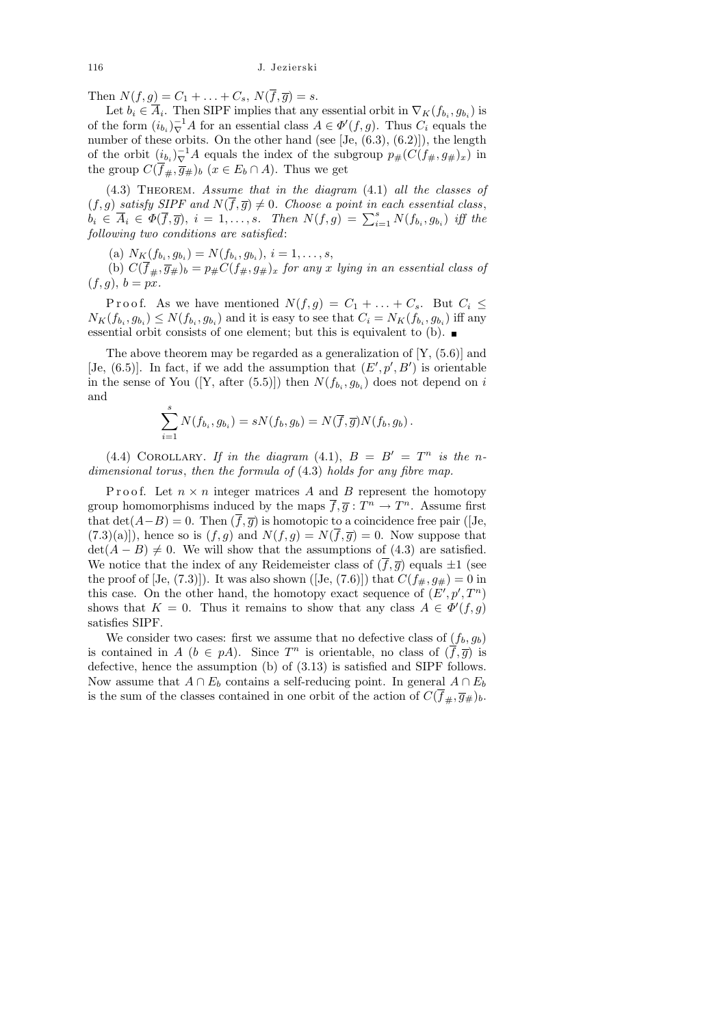Then  $N(f, g) = C_1 + ... + C_s$ ,  $N(\overline{f}, \overline{g}) = s$ .

Let  $b_i \in A_i$ . Then SIPF implies that any essential orbit in  $\nabla_K(f_{b_i}, g_{b_i})$  is of the form  $(i_{b_i})_{\nabla}^{-1}A$  for an essential class  $A \in \Phi'(f, g)$ . Thus  $C_i$  equals the number of these orbits. On the other hand (see [Je,  $(6.3)$ ,  $(6.2)$ ]), the length of the orbit  $(i_{b_i})_{\nabla}^{-1}A$  equals the index of the subgroup  $p_{\#}(C(f_{\#}, g_{\#})_x)$  in the group  $C(\overline{f}_\#, \overline{g}_\#)_b$   $(x \in E_b \cap A)$ . Thus we get

 $(4.3)$  THEOREM. Assume that in the diagram  $(4.1)$  all the classes of  $(f, g)$  satisfy SIPF and  $N(\overline{f}, \overline{g}) \neq 0$ . Choose a point in each essential class,  $\widetilde{b}_i \in \overline{A}_i \in \Phi(\overline{f}, \overline{g}), i = 1, \ldots, s.$  Then  $N(f, g) = \sum_{i=1}^s N(f_{b_i}, g_{b_i})$  iff the following two conditions are satisfied:

(a)  $N_K(f_{b_i}, g_{b_i}) = N(f_{b_i}, g_{b_i}), i = 1, \ldots, s,$ 

(b)  $C(\overline{f}_{\#}, \overline{g}_{\#})_b = p_{\#}C(f_{\#}, g_{\#})_x$  for any x lying in an essential class of  $(f, g), b = px.$ 

P r o o f. As we have mentioned  $N(f,g) = C_1 + \ldots + C_s$ . But  $C_i \leq$  $N_K(f_{b_i}, g_{b_i}) \le N(f_{b_i}, g_{b_i})$  and it is easy to see that  $C_i = N_K(f_{b_i}, g_{b_i})$  iff any essential orbit consists of one element; but this is equivalent to (b).

The above theorem may be regarded as a generalization of  $[Y, (5.6)]$  and [Je,  $(6.5)$ ]. In fact, if we add the assumption that  $(E', p', B')$  is orientable in the sense of You ([Y, after (5.5)]) then  $N(f_{b_i}, g_{b_i})$  does not depend on i and

$$
\sum_{i=1}^s N(f_{b_i}, g_{b_i}) = sN(f_b, g_b) = N(\overline{f}, \overline{g})N(f_b, g_b).
$$

(4.4) COROLLARY. If in the diagram (4.1),  $B = B' = T^n$  is the ndimensional torus, then the formula of  $(4.3)$  holds for any fibre map.

P r o o f. Let  $n \times n$  integer matrices A and B represent the homotopy group homomorphisms induced by the maps  $\overline{f}, \overline{g}: T^n \to T^n$ . Assume first that  $\det(A-B)=0$ . Then  $(\overline{f},\overline{g})$  is homotopic to a coincidence free pair ([Je,  $(7.3)(a)$ , hence so is  $(f, g)$  and  $N(f, g) = N(\overline{f}, \overline{g}) = 0$ . Now suppose that  $\det(A - B) \neq 0$ . We will show that the assumptions of (4.3) are satisfied. We notice that the index of any Reidemeister class of  $(\overline{f}, \overline{g})$  equals  $\pm 1$  (see the proof of [Je, (7.3)]). It was also shown ([Je, (7.6)]) that  $C(f_{\#}, g_{\#}) = 0$  in this case. On the other hand, the homotopy exact sequence of  $(E', p', T^n)$ shows that  $K = 0$ . Thus it remains to show that any class  $A \in \Phi'(f, g)$ satisfies SIPF.

We consider two cases: first we assume that no defective class of  $(f_b, g_b)$ is contained in  $A (b \in pA)$ . Since  $T^n$  is orientable, no class of  $(\overline{f}, \overline{g})$  is defective, hence the assumption (b) of (3.13) is satisfied and SIPF follows. Now assume that  $A \cap E_b$  contains a self-reducing point. In general  $A \cap E_b$ is the sum of the classes contained in one orbit of the action of  $C(f_{\#}, \overline{g}_{\#})_b$ .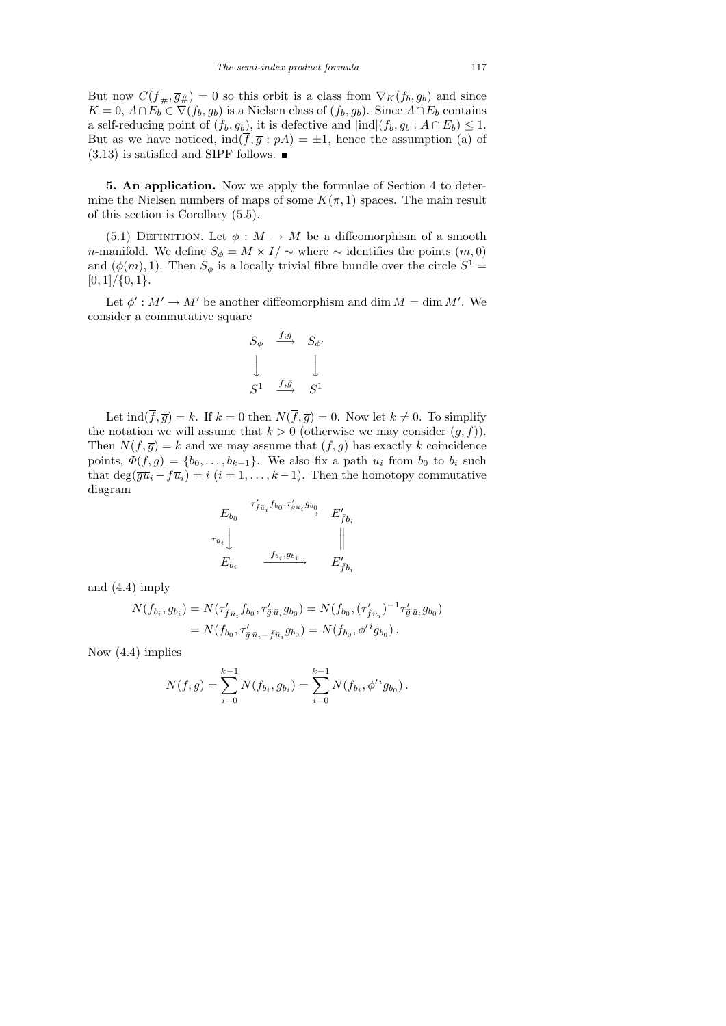But now  $C(\overline{f}_{\#}, \overline{g}_{\#}) = 0$  so this orbit is a class from  $\nabla_K(f_b, g_b)$  and since  $K = 0$ ,  $A \cap E_b$ <sup>"</sup> $\in \nabla(f_b, g_b)$  is a Nielsen class of  $(f_b, g_b)$ . Since  $A \cap E_b$  contains a self-reducing point of  $(f_b, g_b)$ , it is defective and  $|ind|(f_b, g_b : A \cap E_b) \leq 1$ . But as we have noticed,  $\text{ind}(\overline{f}, \overline{g} : pA) = \pm 1$ , hence the assumption (a) of  $(3.13)$  is satisfied and SIPF follows.  $\blacksquare$ 

5. An application. Now we apply the formulae of Section 4 to determine the Nielsen numbers of maps of some  $K(\pi, 1)$  spaces. The main result of this section is Corollary (5.5).

(5.1) DEFINITION. Let  $\phi : M \to M$  be a diffeomorphism of a smooth n-manifold. We define  $S_{\phi} = M \times I / \sim$  where  $\sim$  identifies the points  $(m, 0)$ and  $(\phi(m), 1)$ . Then  $S_{\phi}$  is a locally trivial fibre bundle over the circle  $S^1 =$  $[0, 1] / \{0, 1\}.$ 

Let  $\phi' : M' \to M'$  be another diffeomorphism and dim  $M = \dim M'$ . We consider a commutative square

$$
\begin{array}{ccc}\nS_{\phi} & \xrightarrow{f,g} & S_{\phi'} \\
\downarrow & & \downarrow \\
S^1 & \xrightarrow{\bar{f}, \bar{g}} & S^1\n\end{array}
$$

Let  $\text{ind}(\overline{f}, \overline{g}) = k$ . If  $k = 0$  then  $N(\overline{f}, \overline{g}) = 0$ . Now let  $k \neq 0$ . To simplify the notation we will assume that  $k > 0$  (otherwise we may consider  $(g, f)$ ). Then  $N(\bar{f}, \bar{g}) = k$  and we may assume that  $(f, g)$  has exactly k coincidence points,  $\Phi(f,g) = \{b_0, \ldots, b_{k-1}\}.$  We also fix a path  $\overline{u}_i$  from  $b_0$  to  $b_i$  such that  $\deg(\overline{gu}_i - \overline{fu}_i) = i$   $(i = 1, \ldots, k-1)$ . Then the homotopy commutative diagram

$$
E_{b_0} \xrightarrow{\tau'_{f\bar{u}_i} f_{b_0}, \tau'_{g\bar{u}_i} g_{b_0}} E'_{\bar{f}b_i}
$$
  

$$
\tau_{\bar{u}_i} \downarrow \qquad \qquad \parallel \qquad \parallel
$$
  

$$
E_{b_i} \xrightarrow{f_{b_i}, g_{b_i}} E'_{\bar{f}b_i}
$$

and (4.4) imply

$$
N(f_{b_i}, g_{b_i}) = N(\tau'_{\bar{f}\bar{u}_i} f_{b_0}, \tau'_{\bar{g}\bar{u}_i} g_{b_0}) = N(f_{b_0}, (\tau'_{\bar{f}\bar{u}_i})^{-1} \tau'_{\bar{g}\bar{u}_i} g_{b_0})
$$
  
=  $N(f_{b_0}, \tau'_{\bar{g}\bar{u}_i - \bar{f}\bar{u}_i} g_{b_0}) = N(f_{b_0}, \phi'^i g_{b_0}).$ 

Now (4.4) implies

$$
N(f,g) = \sum_{i=0}^{k-1} N(f_{b_i}, g_{b_i}) = \sum_{i=0}^{k-1} N(f_{b_i}, \phi'^i g_{b_0}).
$$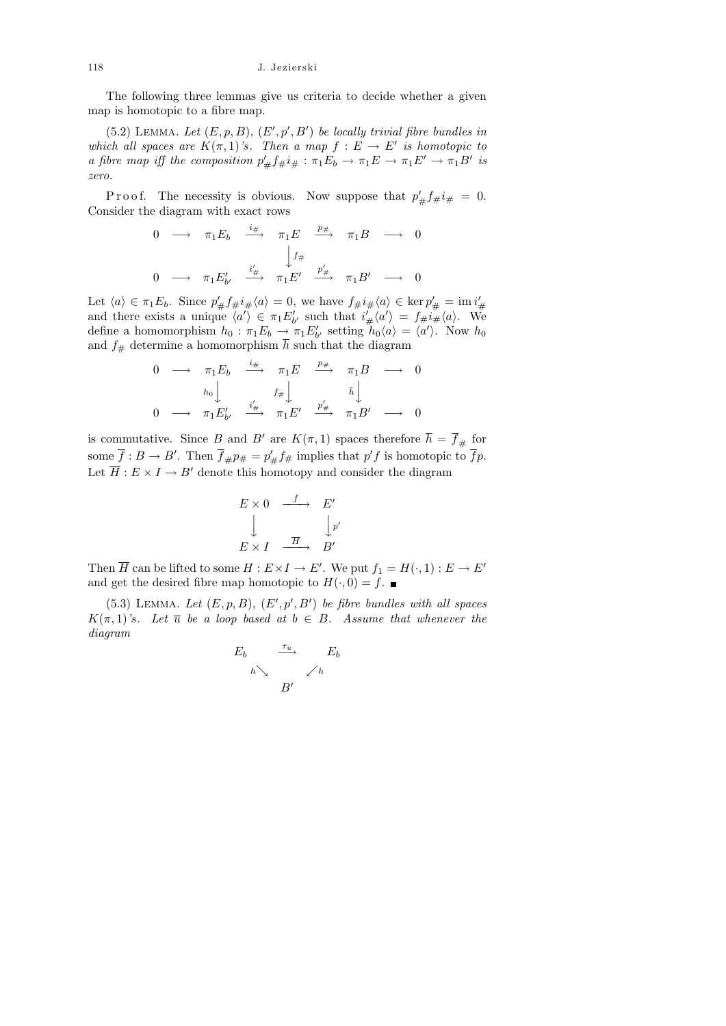The following three lemmas give us criteria to decide whether a given map is homotopic to a fibre map.

 $(5.2)$  LEMMA. Let  $(E, p, B), (E', p', B')$  be locally trivial fibre bundles in which all spaces are  $K(\pi,1)$ 's. Then a map  $f: E \to E'$  is homotopic to a fibre map iff the composition  $p'_{\#} f_{\#} i_{\#} : \pi_1 E_b \to \pi_1 E \to \pi_1 E' \to \pi_1 B'$  is zero.

P r o o f. The necessity is obvious. Now suppose that  $p'_{\#} f_{\#} i_{\#} = 0$ . Consider the diagram with exact rows

$$
\begin{array}{ccccccc}\n0 & \longrightarrow & \pi_1 E_b & \xrightarrow{i_{\#}} & \pi_1 E & \xrightarrow{p_{\#}} & \pi_1 B & \longrightarrow & 0 \\
& & \downarrow f_{\#} & & & \\
0 & \longrightarrow & \pi_1 E'_{b'} & \xrightarrow{i'_{\#}} & \pi_1 E' & \xrightarrow{p'_{\#}} & \pi_1 B' & \longrightarrow & 0\n\end{array}
$$

Let  $\langle a \rangle \in \pi_1 E_b$ . Since  $p'_{\#} f_{\#} i_{\#} \langle a \rangle = 0$ , we have  $f_{\#} i_{\#} \langle a \rangle \in \ker p'_{\#} = \mathrm{im} i'_{\#}$ <br>and there exists a unique  $\langle a' \rangle \in \pi_1 E'_{b'}$  such that  $i'_{\#} \langle a' \rangle = f_{\#} i_{\#} \langle a \rangle$ . We define a homomorphism  $h_0: \pi_1 E_b \to \pi_1 E'_{b'}$  setting  $h_0 \langle a \rangle = \langle a' \rangle$ . Now  $h_0$ and  $f_{\#}$  determine a homomorphism  $\bar{h}$  such that the diagram

$$
\begin{array}{ccccccc}\n0 & \longrightarrow & \pi_1 E_b & \xrightarrow{i_\#} & \pi_1 E & \xrightarrow{p_\#} & \pi_1 B & \longrightarrow & 0 \\
& & & & & & & & & \\
& & & & & & & & & & \\
0 & \longrightarrow & \pi_1 E'_{b'} & \xrightarrow{i'_\#} & \pi_1 E' & \xrightarrow{p'_\#} & \pi_1 B' & \longrightarrow & 0\n\end{array}
$$

is commutative. Since B and B' are  $K(\pi, 1)$  spaces therefore  $\overline{h} = \overline{f}_{\#}$  for some  $\overline{f}: B \to B'$ . Then  $\overline{f}_{\#} p_{\#} = p'_{\#} f_{\#}$  implies that  $p'f$  is homotopic to  $\overline{f} p$ . Let  $\overline{H}: E \times I \to B'$  denote this homotopy and consider the diagram

$$
E \times 0 \xrightarrow{f} E'
$$
  

$$
\downarrow \qquad \qquad \downarrow p'
$$
  

$$
E \times I \xrightarrow{\overline{H}} B'
$$

Then  $\overline{H}$  can be lifted to some  $H: E \times I \to E'$ . We put  $f_1 = H(\cdot, 1): E \to E'$ and get the desired fibre map homotopic to  $H(\cdot, 0) = f$ .

 $(5.3)$  LEMMA. Let  $(E, p, B)$ ,  $(E', p', B')$  be fibre bundles with all spaces  $K(\pi, 1)$ 's. Let  $\overline{u}$  be a loop based at  $b \in B$ . Assume that whenever the diagram

$$
E_b \xrightarrow{\tau_{\bar{u}}} E_b
$$
\n
$$
h \searrow \swarrow h
$$
\n
$$
B'
$$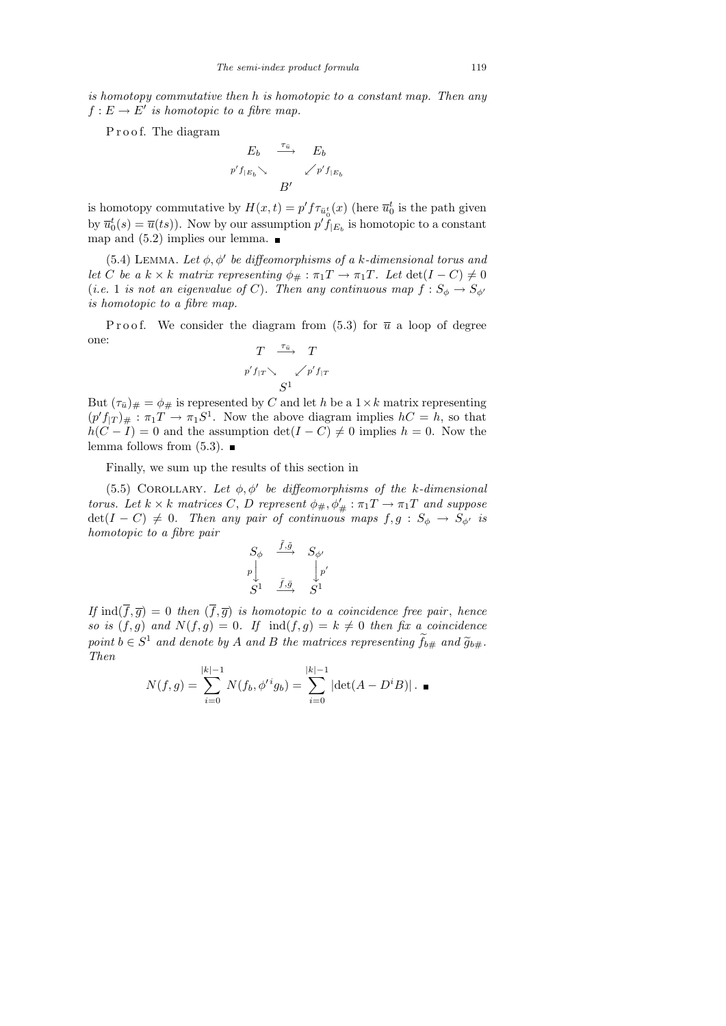is homotopy commutative then h is homotopic to a constant map. Then any  $f: E \to E'$  is homotopic to a fibre map.

P r o o f. The diagram

$$
E_b \xrightarrow{\tau_{\bar{u}}} E_b
$$
  
 $p' f_{|E_b} \searrow \swarrow p' f_{|E_b}$   
 $B'$ 

is homotopy commutative by  $H(x,t) = p' f \tau_{\bar{u}_0^t}(x)$  (here  $\bar{u}_0^t$  is the path given by  $\overline{u}_0^t(s) = \overline{u}(ts)$ . Now by our assumption  $p' \tilde{f}_{|E_b}$  is homotopic to a constant map and  $(5.2)$  implies our lemma.

(5.4) LEMMA. Let  $\phi$ ,  $\phi'$  be diffeomorphisms of a k-dimensional torus and let C be a  $k \times k$  matrix representing  $\phi_{\#} : \pi_1 T \to \pi_1 T$ . Let  $\det(I - C) \neq 0$ (i.e. 1 is not an eigenvalue of C). Then any continuous map  $f: S_{\phi} \to S_{\phi'}$ is homotopic to a fibre map.

Proof. We consider the diagram from  $(5.3)$  for  $\overline{u}$  a loop of degree one:  $\tau_{\bar{u}}$ 

$$
\begin{array}{ccc}\nT & \stackrel{\cdot}{\longrightarrow} & T \\
p' f_{|T} \searrow & \swarrow p' f_{|T} \\
S^1 & & \n\end{array}
$$

But  $(\tau_{\bar{u}})_\# = \phi_\#$  is represented by C and let h be a  $1 \times k$  matrix representing  $(p' f_{|T})_{\#} : \pi_1 T \to \pi_1 S^1$ . Now the above diagram implies  $hC = h$ , so that  $h(C - I) = 0$  and the assumption  $\det(I - C) \neq 0$  implies  $h = 0$ . Now the lemma follows from  $(5.3)$ .

Finally, we sum up the results of this section in

(5.5) COROLLARY. Let  $\phi, \phi'$  be diffeomorphisms of the k-dimensional torus. Let  $k \times k$  matrices C, D represent  $\phi_{\#}, \phi'_{\#} : \pi_1 T \to \pi_1 T$  and suppose  $det(I - C) \neq 0$ . Then any pair of continuous maps  $f, g : S_{\phi} \to S_{\phi'}$  is homotopic to a fibre pair

$$
\begin{array}{ccc}\nS_{\phi} & \xrightarrow{\tilde{f},\tilde{g}} & S_{\phi'} \\
p \downarrow & & \downarrow p' \\
S^1 & \xrightarrow{\bar{f},\bar{g}} & S^1\n\end{array}
$$

If  $\text{ind}(\overline{f}, \overline{g}) = 0$  then  $(\overline{f}, \overline{g})$  is homotopic to a coincidence free pair, hence so is  $(f, g)$  and  $N(f, g) = 0$ . If  $\text{ind}(f, g) = k \neq 0$  then fix a coincidence point  $b \in S^1$  and denote by A and B the matrices representing  $\tilde{f}_{b\#}$  and  $\tilde{g}_{b\#}$ .<br>Then Then

$$
N(f,g) = \sum_{i=0}^{|k|-1} N(f_b, \phi'^i g_b) = \sum_{i=0}^{|k|-1} |\det(A - D^i B)| \cdot \blacksquare
$$